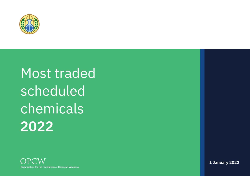

# Most traded **scheduled** chemicals 2022



1 January 2022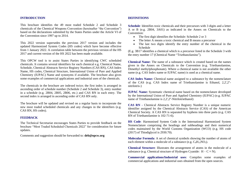#### **INTRODUCTION**

This brochure identifies the 49 most traded Schedule 2 and Schedule 3 chemicals of the Chemical Weapons Convention (hereinafter "the Convention") based on the declarations submitted by the States Parties under the Article VI of the Convention since 1997 up to 2014.

This 2022 version supersedes the previous 2017 version and includes the updated Harmonized System Codes (HS codes) which have become effective from 1 January 2022. A correlation table between the previous version of the HS 2017 and current version of the HS 2022 has been made available.

This OPCW tool is to assist States Parties in identifying CWC scheduled chemicals. It contains several identifiers for each chemical e.g. Chemical Name, Schedule, Chemical Abstracts Service Registry Numbers (CAS RN), CAS Index Name, HS codes, Chemical Structure, International Union of Pure and Applied Chemistry (IUPAC) Name and synonyms if available. The brochure also gives some examples of commercial applications and industrial uses of the chemicals.

The chemicals in the brochure are indexed twice; the first index is arranged in ascending order of schedule number (Schedule 2 and Schedule 3), entry number in a schedule (e.g. 2B04, 2B05, 2B06, etc.) and CAS RN in each entry. The second index is arranged in ascending order of CAS RN only.

The brochure will be updated and revised on a regular basis to incorporate the new most traded scheduled chemicals and any changes in the identifiers (e.g. CAS RN, HS codes).

#### **FEEDBACK**

The Technical Secretariat encourages States Parties to provide feedback on the brochure "Most Traded Scheduled Chemicals 2022" for consideration for future updates.

Comments and suggestion should be forwarded to: **deb@opcw.org**

#### **DEFINITIONS**

**Schedule**: Identifies toxic chemicals and their precursors with 3 digits and a letter A or B (e.g. 2B04, 3A01) as indicated in the Annex on Chemicals to the Convention:

- The first digit identifies the Schedule: Schedule 2 or 3
- The letter A means a toxic chemical and B means a precursor
- The last two digits identify the entry number of the chemical in the Schedule

(E.g. 3B17 identifies a chemical which is a precursor listed in the Schedule 3 with the entry number 17 (Chemical Name "Triethanolamine").

**Chemical Name:** The name of a substance which is created based on the names given in the Annex on Chemicals to the Convention (e.g. Triethanolamine, Dimethyl methylphosphonate). Where a chemical name is not available the other name (e.g. CAS Index name or IUPAC name) is used as a chemical name.

**CAS Index Name:** Chemical name assigned to a substance by the nomenclature of the CAS (e.g. CAS Index name of Triethanolamine is Ethanol, 2,2',2'' nitrilotris-)

**IUPAC Name:** Systematic chemical name based on the nomenclature developed by the International Union of Pure and Applied Chemistry (IUPAC) (e.g. IUPAC name of Triethanolamine is 2,2',2''-Nitrilotriethanol)

**CAS RN -** Chemical Abstracts Service Registry Number is a unique numeric identifier assigned by the Chemical Abstracts Service (CAS) of the American Chemical Society. A CAS RN is separated by hyphens into three parts (e.g. CAS RN of Triethanolamine is 102-71-6).

**HS Code**: Harmonised System Code is the International Harmonized System Nomenclature comprising the headings and subheadings and their numerical codes maintained by the World Customs Organization (WCO) (e.g. HS code (2017) of Thiodiglycol is 2930.70).

**Molecular Formula**: A set of chemical symbols showing the number of atoms of each element within a molecule of a substance (e.g.  $C_6H_15NO_3$ ).

**Chemical Structure**: Illustrates the arrangement of atoms in the molecule of a substance (e.g. Chemical structure of Hydrogen Cyanide:  $H - C \equiv N$ ).

**Commercial applications/Industrial uses**: Compiles some examples of commercial applications and industrial uses obtained from the open sources.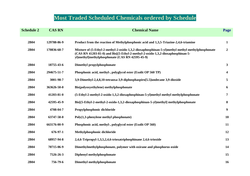# **Most Traded Scheduled Chemicals ordered by Schedule**

| <b>Schedule 2</b> | <b>CAS RN</b> | <b>Chemical Name</b>                                                                                                                                                                                                                                                                      | Page                    |
|-------------------|---------------|-------------------------------------------------------------------------------------------------------------------------------------------------------------------------------------------------------------------------------------------------------------------------------------------|-------------------------|
| 2B04              | 129788-86-9   | Product from the reaction of Methylphosphonic acid and 1,3,5-Triazine-2,4,6-triamine                                                                                                                                                                                                      | $\mathbf{1}$            |
| 2B04              | 170836-68-7   | Mixture of (5-Ethyl-2-methyl-2-oxido-1,3,2-dioxaphosphinan-5-yl)methyl methyl methylphosphonate<br>$(CAS RN 41203-81-0)$ and Bis $[(5-Ethyl-2-methyl-2-oxido-1,3,2-dioxaphosphinan-5-1,3,2-dioxaphosphinan-5-1,2-dioxaphosphinan-5-1]$<br>yl)methyl]methylphosphonate (CAS RN 42595-45-9) | $\overline{2}$          |
| 2B04              | 18755-43-6    | Dimethyl propylphosphonate                                                                                                                                                                                                                                                                | $\mathbf{3}$            |
| 2B04              | 294675-51-7   | Phosphonic acid, methyl-, polyglycol ester (Exolit OP 560 TP)                                                                                                                                                                                                                             | $\overline{\mathbf{4}}$ |
| 2B04              | 3001-98-7     | 3,9-Dimethyl-2,4,8,10-tetraoxa-3,9-diphosphaspiro[5.5]undecane 3,9-dioxide                                                                                                                                                                                                                | 5                       |
| 2B04              | 363626-50-0   | Bis(polyoxyethylene) methylphosphonate                                                                                                                                                                                                                                                    | 6                       |
| 2B04              | 41203-81-0    | (5-Ethyl-2-methyl-2-oxido-1,3,2-dioxaphosphinan-5-yl)methyl methyl methylphosphonate                                                                                                                                                                                                      | 7                       |
| 2B04              | 42595-45-9    | Bis[(5-Ethyl-2-methyl-2-oxido-1,3,2-dioxaphosphinan-5-yl)methyl] methylphosphonate                                                                                                                                                                                                        | 8                       |
| 2B04              | 4708-04-7     | Propylphosphonic dichloride                                                                                                                                                                                                                                                               | 9 <sup>°</sup>          |
| 2B04              | 63747-58-0    | $Poly(1,3\text{-phenylene methyl phosphate})$                                                                                                                                                                                                                                             | <b>10</b>               |
| 2B04              | 663176-00-9   | Phosphonic acid, methyl-, polyglycol ester (Exolit OP 560)                                                                                                                                                                                                                                | 11                      |
| 2B04              | 676-97-1      | Methylphosphonic dichloride                                                                                                                                                                                                                                                               | 12                      |
| 2B04              | 68957-94-8    | 2,4,6-Tripropyl-1,3,5,2,4,6-trioxatriphosphinane 2,4,6-trioxide                                                                                                                                                                                                                           | 13                      |
| 2B04              | 70715-06-9    | Dimethylmethylphosphonate, polymer with oxirane and phosphorus oxide                                                                                                                                                                                                                      | 14                      |
| 2B04              | 7526-26-3     | Diphenyl methylphosphonate                                                                                                                                                                                                                                                                | 15                      |
| 2B04              | 756-79-6      | Dimethyl methylphosphonate                                                                                                                                                                                                                                                                | 16                      |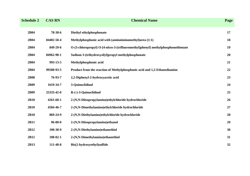| <b>Schedule 2</b> | <b>CAS RN</b>  | <b>Chemical Name</b>                                                             | Page |
|-------------------|----------------|----------------------------------------------------------------------------------|------|
| 2B04              | 78-38-6        | Diethyl ethylphosphonate                                                         | 17   |
| 2B04              | 84402-58-4     | Methylphosphonic acid with (aminoiminomethyl)urea (1:1)                          | 18   |
| 2B04              | 849-29-6       | O-(3-chloropropyl) O-[4-nitro-3-(trifluoromethyl)phenyl] methylphosphonothionate | 19   |
| 2B04              | 84962-98-1     | Sodium 3-(trihydroxysilyl)propyl methylphosphonate                               | 20   |
| 2B04              | 993-13-5       | Methylphosphonic acid                                                            | 21   |
| 2B04              | 99580-93-5     | Product from the reaction of Methylphosphonic acid and 1,2-Ethanediamine         | 22   |
| <b>2B08</b>       | 76-93-7        | 2,2-Diphenyl-2-hydroxyacetic acid                                                | 23   |
| 2B09              | 1619-34-7      | 3-Quinuclidinol                                                                  | 24   |
| 2B09              | 25333-42-0     | $R$ - $(-)$ -3-Quinuclidinol                                                     | 25   |
| 2B10              | 4261-68-1      | 2-(N,N-Diisopropylamino)ethylchloride hydrochloride                              | 26   |
| 2B10              | 4584-46-7      | 2-(N,N-Dimethylamino)ethylchloride hydrochloride                                 | 27   |
| 2B10              | 869-24-9       | 2-(N,N-Diethylamino)ethylchloride hydrochloride                                  | 28   |
| 2B11              | $96 - 80 - 0$  | 2-(N,N-Diisopropylamino)ethanol                                                  | 29   |
| 2B12              | 100-38-9       | 2-(N,N-Diethylamino)ethanethiol                                                  | 30   |
| 2B12              | $108 - 02 - 1$ | 2-(N,N-Dimethylamino)ethanethiol                                                 | 31   |
| 2B13              | 111-48-8       | Bis(2-hydroxyethyl)sulfide                                                       | 32   |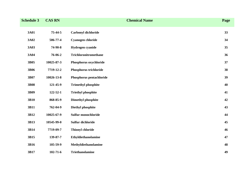| <b>Schedule 3</b> | <b>CAS RN</b>  | <b>Chemical Name</b>       | Page |
|-------------------|----------------|----------------------------|------|
| 3A01              | 75-44-5        | Carbonyl dichloride        | 33   |
| 3A02              | 506-77-4       | Cyanogen chloride          | 34   |
| 3A03              | 74-90-8        | Hydrogen cyanide           | 35   |
| 3A04              | 76-06-2        | Trichloronitromethane      | 36   |
| 3B05              | 10025-87-3     | Phosphorus oxychloride     | 37   |
| <b>3B06</b>       | 7719-12-2      | Phosphorus trichloride     | 38   |
| 3B07              | 10026-13-8     | Phosphorus pentachloride   | 39   |
| <b>3B08</b>       | 121-45-9       | <b>Trimethyl phosphite</b> | 40   |
| 3B09              | $122 - 52 - 1$ | <b>Triethyl phosphite</b>  | 41   |
| 3B10              | 868-85-9       | <b>Dimethyl phosphite</b>  | 42   |
| 3B11              | 762-04-9       | Diethyl phosphite          | 43   |
| 3B12              | 10025-67-9     | Sulfur monochloride        | 44   |
| 3B13              | 10545-99-0     | Sulfur dichloride          | 45   |
| 3B14              | 7719-09-7      | <b>Thionyl chloride</b>    | 46   |
| 3B15              | 139-87-7       | Ethyldiethanolamine        | 47   |
| 3B16              | 105-59-9       | Methyldiethanolamine       | 48   |
| 3B17              | $102 - 71 - 6$ | <b>Triethanolamine</b>     | 49   |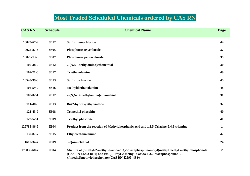# **Most Traded Scheduled Chemicals ordered by CAS RN**

| <b>CAS RN</b>  | <b>Schedule</b> | <b>Chemical Name</b>                                                                                                                                                                                                                 |                  |
|----------------|-----------------|--------------------------------------------------------------------------------------------------------------------------------------------------------------------------------------------------------------------------------------|------------------|
| 10025-67-9     | 3B12            | Sulfur monochloride                                                                                                                                                                                                                  | 44               |
| 10025-87-3     | 3B05            | Phosphorus oxychloride                                                                                                                                                                                                               | 37               |
| 10026-13-8     | 3B07            | Phosphorus pentachloride                                                                                                                                                                                                             | 39               |
| 100-38-9       | 2B12            | 2-(N,N-Diethylamino)ethanethiol                                                                                                                                                                                                      | 30               |
| $102 - 71 - 6$ | 3B17            | <b>Triethanolamine</b>                                                                                                                                                                                                               | 49               |
| 10545-99-0     | 3B13            | Sulfur dichloride                                                                                                                                                                                                                    | 45               |
| 105-59-9       | 3B16            | Methyldiethanolamine                                                                                                                                                                                                                 | 48               |
| 108-02-1       | 2B12            | 2-(N,N-Dimethylamino)ethanethiol                                                                                                                                                                                                     | 31               |
| 111-48-8       | 2B13            | Bis(2-hydroxyethyl)sulfide                                                                                                                                                                                                           | 32               |
| 121-45-9       | <b>3B08</b>     | <b>Trimethyl phosphite</b>                                                                                                                                                                                                           | 40               |
| 122-52-1       | 3B09            | <b>Triethyl phosphite</b>                                                                                                                                                                                                            | 41               |
| 129788-86-9    | 2B04            | Product from the reaction of Methylphosphonic acid and 1,3,5-Triazine-2,4,6-triamine                                                                                                                                                 | $\mathbf{1}$     |
| 139-87-7       | 3B15            | Ethyldiethanolamine                                                                                                                                                                                                                  | 47               |
| 1619-34-7      | 2B09            | 3-Quinuclidinol                                                                                                                                                                                                                      | 24               |
| 170836-68-7    | <b>2B04</b>     | Mixture of (5-Ethyl-2-methyl-2-oxido-1,3,2-dioxaphosphinan-5-yl)methyl methyl methylphosphonate<br>(CAS RN 41203-81-0) and Bis[(5-Ethyl-2-methyl-2-oxido-1,3,2-dioxaphosphinan-5-<br>yl)methyl]methylphosphonate (CAS RN 42595-45-9) | $\boldsymbol{2}$ |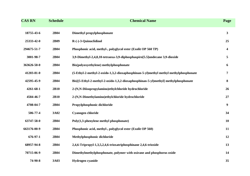| <b>CAS RN</b> | <b>Schedule</b> | <b>Chemical Name</b>                                                                 | Page                    |
|---------------|-----------------|--------------------------------------------------------------------------------------|-------------------------|
| 18755-43-6    | 2B04            | Dimethyl propylphosphonate                                                           | 3 <sup>1</sup>          |
| 25333-42-0    | 2B09            | $R$ - $(-)$ -3-Quinuclidinol                                                         | 25                      |
| 294675-51-7   | 2B04            | Phosphonic acid, methyl-, polyglycol ester (Exolit OP 560 TP)                        | $\overline{\mathbf{4}}$ |
| 3001-98-7     | 2B04            | 3,9-Dimethyl-2,4,8,10-tetraoxa-3,9-diphosphaspiro[5.5]undecane 3,9-dioxide           | 5                       |
| 363626-50-0   | 2B04            | Bis(polyoxyethylene) methylphosphonate                                               | 6                       |
| 41203-81-0    | 2B04            | (5-Ethyl-2-methyl-2-oxido-1,3,2-dioxaphosphinan-5-yl)methyl methyl methylphosphonate | 7                       |
| 42595-45-9    | 2B04            | Bis[(5-Ethyl-2-methyl-2-oxido-1,3,2-dioxaphosphinan-5-yl)methyl] methylphosphonate   | 8                       |
| 4261-68-1     | 2B10            | 2-(N,N-Diisopropylamino)ethylchloride hydrochloride                                  | 26                      |
| 4584-46-7     | 2B10            | 2-(N,N-Dimethylamino)ethylchloride hydrochloride                                     | 27                      |
| 4708-04-7     | 2B04            | Propylphosphonic dichloride                                                          | 9 <sup>°</sup>          |
| 506-77-4      | 3A02            | Cyanogen chloride                                                                    | 34                      |
| 63747-58-0    | 2B04            | $Poly(1,3\text{-phenylene methyl phosphate})$                                        | <b>10</b>               |
| 663176-00-9   | 2B04            | Phosphonic acid, methyl-, polyglycol ester (Exolit OP 560)                           | 11                      |
| 676-97-1      | 2B04            | Methylphosphonic dichloride                                                          | 12                      |
| 68957-94-8    | 2B04            | 2,4,6-Tripropyl-1,3,5,2,4,6-trioxatriphosphinane 2,4,6-trioxide                      | 13                      |
| 70715-06-9    | 2B04            | Dimethylmethylphosphonate, polymer with oxirane and phosphorus oxide                 | 14                      |
| 74-90-8       | 3A03            | Hydrogen cyanide                                                                     | 35                      |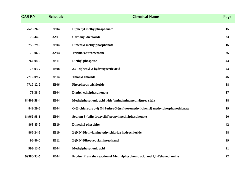| <b>CAS RN</b> | <b>Schedule</b> | <b>Chemical Name</b>                                                             | Page |
|---------------|-----------------|----------------------------------------------------------------------------------|------|
| 7526-26-3     | 2B04            | Diphenyl methylphosphonate                                                       | 15   |
| 75-44-5       | 3A01            | Carbonyl dichloride                                                              | 33   |
| 756-79-6      | 2B04            | Dimethyl methylphosphonate                                                       | 16   |
| 76-06-2       | 3A04            | Trichloronitromethane                                                            | 36   |
| 762-04-9      | 3B11            | Diethyl phosphite                                                                | 43   |
| 76-93-7       | <b>2B08</b>     | 2,2-Diphenyl-2-hydroxyacetic acid                                                | 23   |
| 7719-09-7     | 3B14            | <b>Thionyl chloride</b>                                                          | 46   |
| 7719-12-2     | 3B06            | Phosphorus trichloride                                                           | 38   |
| 78-38-6       | 2B04            | Diethyl ethylphosphonate                                                         | 17   |
| 84402-58-4    | 2B04            | Methylphosphonic acid with (aminoiminomethyl)urea (1:1)                          | 18   |
| 849-29-6      | 2B04            | O-(3-chloropropyl) O-[4-nitro-3-(trifluoromethyl)phenyl] methylphosphonothionate | 19   |
| 84962-98-1    | 2B04            | Sodium 3-(trihydroxysilyl)propyl methylphosphonate                               | 20   |
| 868-85-9      | 3B10            | <b>Dimethyl phosphite</b>                                                        | 42   |
| 869-24-9      | 2B10            | 2-(N,N-Diethylamino)ethylchloride hydrochloride                                  | 28   |
| $96 - 80 - 0$ | 2B11            | 2-(N,N-Diisopropylamino)ethanol                                                  | 29   |
| 993-13-5      | 2B04            | Methylphosphonic acid                                                            | 21   |
| 99580-93-5    | 2B04            | Product from the reaction of Methylphosphonic acid and 1,2-Ethanediamine         | 22   |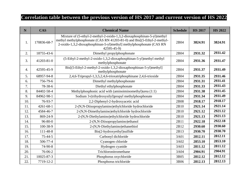# **Correlation table between the previous version of HS 2017 and current version of HS 2022**

| N   | <b>CAS</b>      | <b>Chemical Name</b>                                                                                                                                                                                                                     | <b>Schedule</b> | <b>HS 2017</b> | <b>HS 2022</b> |
|-----|-----------------|------------------------------------------------------------------------------------------------------------------------------------------------------------------------------------------------------------------------------------------|-----------------|----------------|----------------|
| 1.  | 170836-68-7     | Mixture of (5-ethyl-2-methyl-2-oxido-1,3,2-dioxaphosphinan-5-yl)methyl<br>methyl methylphosphonate (CAS RN 41203-81-0) and Bis[(5-Ethyl-2-methyl-<br>2-oxido-1,3,2-dioxaphosphinan-5-yl)methyl] methylphosphonate (CAS RN<br>42595-45-9) | 2B04            | 3824.91        | 3824.91        |
| 2.  | 18755-43-6      | Dimethyl propylphosphonate                                                                                                                                                                                                               | 2B04            | 2931.32        | 2931.42        |
| 3.  | 41203-81-0      | (5-Ethyl-2-methyl-2-oxido-1,3,2-dioxaphosphinan-5-yl)methyl methyl<br>methylphosphonate                                                                                                                                                  | 2B04            | 2931.36        | 2931.47        |
| 4.  | 42595-45-9      | Bis[(5-Ethyl-2-methyl-2-oxido-1,3,2-dioxaphosphinan-5-yl)methyl]<br>methylphosphonate                                                                                                                                                    | 2B04            | 2931.37        | 2931.49        |
| 5.  | 68957-94-8      | 2,4,6-Tripropyl-1,3,5,2,4,6-trioxatriphosphinane 2,4,6-trioxide                                                                                                                                                                          | 2B04            | 2931.35        | 2931.46        |
| 6.  | 756-79-6        | Dimethyl methylphosphonate                                                                                                                                                                                                               | 2B04            | 2931.31        | 2931.41        |
| 7.  | 78-38-6         | Diethyl ethylphosphonate                                                                                                                                                                                                                 | 2B04            | 2931.33        | 2931.43        |
| 8.  | 84402-58-4      | Methylphosphonic acid with (aminoiminomethyl)urea (1:1)                                                                                                                                                                                  | 2B04            | 2931.38        | 2931.45        |
| 9.  | 84962-98-1      | Sodium 3-(trihydroxysilyl)propyl methylphosphonate                                                                                                                                                                                       | 2B04            | 2931.34        | 2931.49        |
| 10. | 76-93-7         | 2,2-Diphenyl-2-hydroxyacetic acid                                                                                                                                                                                                        | 2B08            | 2918.17        | 2918.17        |
| 11. | $4261 - 68 - 1$ | 2-(N,N-Diisopropylamino)ethylchloride hydrochloride                                                                                                                                                                                      | 2B10            | 2921.14        | 2921.14        |
| 12. | 4584-46-7       | 2-(N,N-Dimethylamino)ethylchloride hydrochloride                                                                                                                                                                                         | 2B10            | 2921.12        | 2921.12        |
| 13. | 869-24-9        | 2-(N,N-Diethylamino)ethylchloride hydrochloride                                                                                                                                                                                          | 2B10            | 2921.13        | 2921.13        |
| 14. | $96 - 80 - 0$   | 2-(N,N-Diisopropylamino)ethanol                                                                                                                                                                                                          | 2B11            | 2922.18        | 2922.18        |
| 15. | 100-38-9        | 2-(N,N-Diethylamino)ethanethiol                                                                                                                                                                                                          | 2B12            | 2930.60        | 2930.60        |
| 16. | 111-48-8        | Bis(2-hydroxyethyl)sulfide                                                                                                                                                                                                               | 2B13            | 2930.70        | 2930.70        |
| 17. | $75 - 44 - 5$   | Carbonyl dichloride                                                                                                                                                                                                                      | 3A01            | 2812.11        | 2812.11        |
| 18. | 506-77-4        | Cyanogen chloride                                                                                                                                                                                                                        | 3A02            | 2853.10        | 2853.10        |
| 19. | 74-90-8         | Hydrogen cyanide                                                                                                                                                                                                                         | 3A03            | 2811.12        | 2811.12        |
| 20. | 76-06-2         | Trichloronitromethane                                                                                                                                                                                                                    | 3A04            | 2904.91        | 2904.91        |
| 21. | 10025-87-3      | Phosphorus oxychloride                                                                                                                                                                                                                   | 3B05            | 2812.12        | 2812.12        |
| 22. | 7719-12-2       | Phosphorus trichloride                                                                                                                                                                                                                   | 3B06            | 2812.13        | 2812.13        |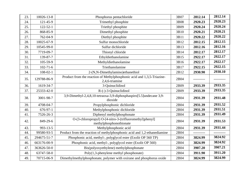| 23. | 10026-13-8     | Phosphorus pentachloride                                                                 | 3B07 | 2812.14    | 2812.14    |
|-----|----------------|------------------------------------------------------------------------------------------|------|------------|------------|
| 24. | 121-45-9       | Trimethyl phosphite                                                                      | 3B08 | 2920.23    | 2920.23    |
| 25. | $122 - 52 - 1$ | Triethyl phosphite                                                                       | 3B09 | 2920.24    | 2920.24    |
| 26. | 868-85-9       | Dimethyl phosphite                                                                       | 3B10 | 2920.21    | 2920.21    |
| 27. | 762-04-9       | Diethyl phosphite                                                                        | 3B11 | 2920.22    | 2920.22    |
| 28. | 10025-67-9     | Sulfur monochloride                                                                      | 3B12 | 2812.15    | 2812.15    |
| 29. | 10545-99-0     | Sulfur dichloride                                                                        | 3B13 | 2812.16    | 2812.16    |
| 30. | 7719-09-7      | Thionyl chloride                                                                         | 3B14 | 2812.17    | 2812.17    |
| 31. | 139-87-7       | Ethyldiethanolamine                                                                      | 3B15 | 2922.17    | 2922.17    |
| 32. | 105-59-9       | Methyldiethanolamine                                                                     | 3B16 | 2922.17    | 2922.17    |
| 33. | $102 - 71 - 6$ | Triethanolamine                                                                          | 3B17 | 2922.15    | 2922.15    |
| 34. | $108 - 02 - 1$ | 2-(N,N-Dimethylamino)ethanethiol                                                         | 2B12 | 2930.90    | 2930.10    |
| 35. | 129788-86-9    | Product from the reaction of Methylphosphonic acid and 1,3,5-Triazine-<br>2,4,6-triamine | 2B04 |            |            |
| 36. | 1619-34-7      | 3-Quinuclidinol                                                                          | 2B09 | 2933.39    | 2933.35    |
| 37. | 25333-42-0     | $R$ - $(-)$ -3-Quinuclidinol                                                             | 2B09 | 2933.39    | 2933.35    |
| 38. | 3001-98-7      | 3,9-Dimethyl-2,4,8,10-tetraoxa-3,9-diphosphaspiro[5.5]undecane 3,9-<br>dioxide           | 2B04 | 2931.39    | 2931.48    |
| 39. | 4708-04-7      | Propylphosphonic dichloride                                                              | 2B04 | 2931.39    | 2931.52    |
| 40. | $676-97-1$     | Methylphosphonic dichloride                                                              | 2B04 | 2931.39    | 2931.51    |
| 41. | 7526-26-3      | Diphenyl methylphosphonate                                                               | 2B04 | 2931.39    | 2931.49    |
| 42. | 849-29-6       | O-(3-chloropropyl) O-[4-nitro-3-(trifluoromethyl)phenyl]<br>methylphosphonothionate      | 2B04 | 2931.39    | 2931.53    |
| 43. | $993 - 13 - 5$ | Methylphosphonic acid                                                                    | 2B04 | 2931.39    | 2931.44    |
| 44. | 99580-93-5     | Product from the reaction of methylphosphonic acid and 1,2-ethanediamine                 | 2B04 | ---------- | ---------- |
| 45. | 294675-51-7    | Phosphonic acid, methyl-, polyglycol ester (Exolit OP 560 TP)                            | 2B04 | 3824.99    | 3824.92    |
| 46. | 663176-00-9    | Phosphonic acid, methyl-, polyglycol ester (Exolit OP 560)                               | 2B04 | 3824.99    | 3824.92    |
| 47. | 363626-50-0    | Bis(polyoxyethylene) methylphosphonate                                                   | 2B04 | 3907.20    | 3907.21    |
| 48. | 63747-58-0     | $Poly(1,3\text{-phenylene methyl phosphate})$                                            | 2B04 | 3911.90    | 3911.20    |
| 49. | 70715-06-9     | Dimethylmethylphosphonate, polymer with oxirane and phosphorus oxide                     | 2B04 | 3824.99    | 3824.99    |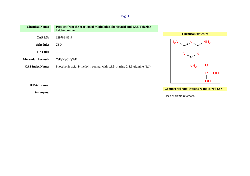| <b>Chemical Name:</b>  | Product from the reaction of Methylphosphonic acid and 1,3,5-Triazine-<br>2,4,6-triamine |                           |
|------------------------|------------------------------------------------------------------------------------------|---------------------------|
|                        |                                                                                          | <b>Chemical Structure</b> |
| <b>CAS RN:</b>         | 129788-86-9                                                                              |                           |
| <b>Schedule:</b>       | 2B04                                                                                     | NH <sub>2</sub><br>H›l    |
| <b>HS</b> code:        |                                                                                          |                           |
| Molecular Formula      | $C_3H_6N_6$ .CH <sub>5</sub> O <sub>3</sub> P                                            |                           |
| <b>CAS Index Name:</b> | Phosphonic acid, P-methyl-, compd. with 1,3,5-triazine-2,4,6-triamine (1:1)              | NH <sub>2</sub>           |

**IUPAC Name:**

**Synonyms:**

**Commercial Applications & Industrial Uses**

P—OH

**OH** 

Used as flame retardant.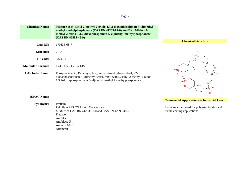| <b>Chemical Name:</b> | Mixture of (5-Ethyl-2-methyl-2-oxido-1,3,2-dioxaphosphinan-5-yl)methyl<br>methyl methylphosphonate (CAS RN 41203-81-0) and Bis[(5-Ethyl-2-<br>methyl-2-oxido-1,3,2-dioxaphosphinan-5-yl)methylmethylphosphonate<br>$(CAS RN 42595-45-9)$ |
|-----------------------|------------------------------------------------------------------------------------------------------------------------------------------------------------------------------------------------------------------------------------------|
| <b>CAS RN:</b>        | 170836-68-7                                                                                                                                                                                                                              |
| Schedule:             | 2B04                                                                                                                                                                                                                                     |

dioxaphosphorinan-5-yl)methyl] ester, mixt. with (5-ethyl-2-methyl-2-oxido-

1,3,2-dioxaphosphorinan- 5-yl)methyl methyl P-methylphosphonate

**Chemical Structure**



**Commercial Applications & Industrial Uses**

Flame retardant used for polyester fabrics and in textile coating applications.

## **IUPAC Name:**

**HS code:** 3824.91

**Molecular Formula**  $C_{15}H_{31}O_9P_3.C_9H_{20}O_6P_2$ 

**Synonyms:** Preflam<br>Pekoflam PES CN Liquid Concentrate Mixture of CAS RN  $\overline{41203}$ -81-0 and CAS RN 42595-45-9 Flacavon Antiblact Antiblace U Amgard 1045 Aflammit

**CAS Index Name:** Phosphonic acid, P-methyl-, bis[(5-ethyl-2-methyl-2-oxido-1,3,2-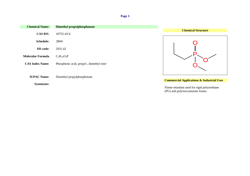| <b>Chemical Name:</b>    | <b>Dimethyl propylphosphonate</b>        |                                                                                 |
|--------------------------|------------------------------------------|---------------------------------------------------------------------------------|
| <b>CAS RN:</b>           | 18755-43-6                               | <b>Chemical Structure</b>                                                       |
| <b>Schedule:</b>         | 2B04                                     |                                                                                 |
| HS code:                 | 2931.42                                  |                                                                                 |
| <b>Molecular Formula</b> | $C_5H_{13}O_3P$                          |                                                                                 |
| <b>CAS Index Name:</b>   | Phosphonic acid, propyl-, dimethyl ester |                                                                                 |
|                          |                                          |                                                                                 |
| <b>IUPAC Name:</b>       | Dimethyl propylphosphonate               | <b>Commercial Applications &amp; Industrial Uses</b>                            |
| <b>Synonyms:</b>         |                                          | Flame retardant used for rigid polyurethane<br>(PU) and polyisocyanurate foams. |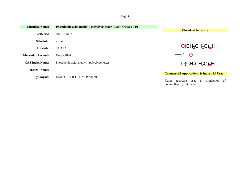| <b>Chemical Name:</b>  | Phosphonic acid, methyl-, polyglycol ester (Exolit OP 560 TP) |                                                                              |
|------------------------|---------------------------------------------------------------|------------------------------------------------------------------------------|
| <b>CAS RN:</b>         | 294675-51-7                                                   | <b>Chemical Structure</b>                                                    |
| <b>Schedule:</b>       | 2B04                                                          |                                                                              |
| <b>HS</b> code:        | 3824.92                                                       | $O(CH_2CH_2O)_{m}H$                                                          |
| Molecular Formula      | Unspecified                                                   |                                                                              |
| <b>CAS Index Name:</b> | Phosphonic acid, methyl-, polyglycol ester                    | $O(CH_2CH_2O)_{n}H$                                                          |
| <b>IUPAC Name:</b>     |                                                               |                                                                              |
|                        |                                                               | <b>Commercial Applications &amp; Industrial Uses</b>                         |
| <b>Synonyms:</b>       | Exolit OP 560 TP (Test Product)                               | retardant used in<br>production<br>Flame<br>- of<br>polyurethane (PU) foams. |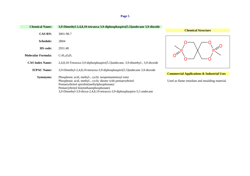**Chemical Name: 3,9-Dimethyl-2,4,8,10-tetraoxa-3,9-diphosphaspiro[5.5]undecane 3,9-dioxide Chemical Structure CAS RN:** 3001-98-7 O P 0—⁄ —0 P O O O **Schedule:** 2B04 **HS code:** 2931.48 **Molecular Formula:**  $C_7H_{14}O_6P_2$ **CAS Index Name:** 2,4,8,10-Tetraoxa-3,9-diphosphaspiro[5.5]undecane, 3,9-dimethyl-, 3,9-dioxide **IUPAC Name:** 3,9-Dimethyl-2,4,8,10-tetraoxa-3,9-diphosphaspiro[5.5]undecane 3,9-dioxide **Commercial Applications & Industrial Uses Synonyms:** Phosphonic acid, methyl-, cyclic neopentanetetrayl ester Phosphonic acid, methyl-, cyclic diester with pentaerythritol Used as flame retardant and moulding material. Pentaerythritol spirobis(methylphosphonate) Pentaerythritol bis(methanephosphonate) 3,9-Dimethyl-3,9-dioxa-2,4,8,10-tetraoxa-3,9-diphosphaspiro-5,5 undecane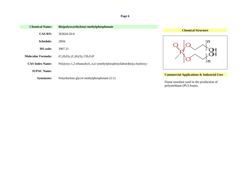| <b>Chemical Name:</b>  | Bis(polyoxyethylene) methylphosphonate                                                      |
|------------------------|---------------------------------------------------------------------------------------------|
| <b>CAS RN:</b>         | 363626-50-0                                                                                 |
| <b>Schedule:</b>       | 2B <sub>04</sub>                                                                            |
| <b>HS</b> code:        | 3907.21                                                                                     |
| Molecular Formula:     | $(C_2H_4O)_n (C_2H_4O)_n CH_5O_3P$                                                          |
| <b>CAS Index Name:</b> | Poly(oxy-1,2-ethanediyl), $\alpha, \alpha'$ -(methylphosphinylidene)bis[ $\omega$ -hydroxy- |
| <b>IUPAC Name:</b>     |                                                                                             |
| <b>Synonyms:</b>       | Polyethylene glycol methylphosphonate (2:1)                                                 |

**Chemical Structure**



# **Commercial Applications & Industrial Uses**

Flame retardant used in the production of polyurethane (PU) foams.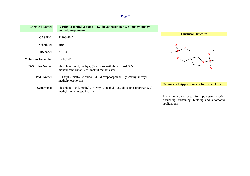| <b>Chemical Name:</b>     | (5-Ethyl-2-methyl-2-oxido-1,3,2-dioxaphosphinan-5-yl)methyl methyl<br>methylphosphonate                   |                                                      |
|---------------------------|-----------------------------------------------------------------------------------------------------------|------------------------------------------------------|
|                           |                                                                                                           | <b>Chemical Structure</b>                            |
| <b>CAS RN:</b>            | $41203 - 81 - 0$                                                                                          |                                                      |
| <b>Schedule:</b>          | 2B04                                                                                                      |                                                      |
| <b>HS</b> code:           | 2931.47                                                                                                   |                                                      |
| <b>Molecular Formula:</b> | $C_9H_{20}O_6P_2$                                                                                         |                                                      |
| <b>CAS Index Name:</b>    | Phosphonic acid, methyl-, (5-ethyl-2-methyl-2-oxido-1,3,2-<br>dioxaphosphorinan-5-yl) methyl methyl ester |                                                      |
| <b>IUPAC Name:</b>        | (5-Ethyl-2-methyl-2-oxido-1,3,2-dioxaphosphinan-5-yl)methyl methyl<br>methylphosphonate                   |                                                      |
|                           |                                                                                                           | <b>Commercial Applications &amp; Industrial Uses</b> |
| <b>Synonyms:</b>          | Phosphonic acid, methyl-, (5-ethyl-2-methyl-1,3,2-dioxaphosphorinan-5-yl)<br>methyl methyl ester, P-oxide |                                                      |
|                           |                                                                                                           | $\sim$ $\sim$ $\sim$                                 |

Flame retardant used for: polyester fabrics, furnishing, curtaining, building and automotive applications.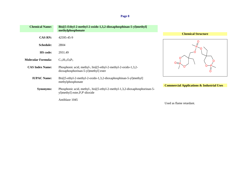| <b>Chemical Name:</b>     | Bis[(5-Ethyl-2-methyl-2-oxido-1,3,2-dioxaphosphinan-5-yl)methyl]<br>methylphosphonate                         |                                                      |
|---------------------------|---------------------------------------------------------------------------------------------------------------|------------------------------------------------------|
|                           |                                                                                                               | <b>Chemical Structure</b>                            |
| <b>CAS RN:</b>            | 42595-45-9                                                                                                    |                                                      |
| Schedule:                 | 2B04                                                                                                          |                                                      |
| <b>HS</b> code:           | 2931.49                                                                                                       |                                                      |
| <b>Molecular Formula:</b> | $C_{15}H_{31}O_9P_3$                                                                                          |                                                      |
| <b>CAS Index Name:</b>    | Phosphonic acid, methyl-, bis[(5-ethyl-2-methyl-2-oxido-1,3,2-<br>dioxaphosphorinan-5-yl)methyl] ester        |                                                      |
| <b>IUPAC Name:</b>        | $\text{Bis}[(5-ethyl-2-methyl-2-oxido-1,3,2-dioxaphosphinan-5-yl)methyl]$<br>methylphosphonate                |                                                      |
|                           |                                                                                                               | <b>Commercial Applications &amp; Industrial Uses</b> |
| <b>Synonyms:</b>          | Phosphonic acid, methyl-, bis[(5-ethyl-2-methyl-1,3,2-dioxaphosphorinan-5-<br>yl)methyl] ester, P, P'-dioxide |                                                      |
|                           | Antiblaze 1045                                                                                                | Used as flame retardant.                             |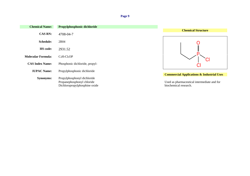| <b>Chemical Name:</b>     | Propylphosphonic dichloride                                                                |                                                                                                                              |
|---------------------------|--------------------------------------------------------------------------------------------|------------------------------------------------------------------------------------------------------------------------------|
|                           |                                                                                            | <b>Chemical Structure</b>                                                                                                    |
| <b>CAS RN:</b>            | 4708-04-7                                                                                  |                                                                                                                              |
| <b>Schedule:</b>          | 2B04                                                                                       |                                                                                                                              |
| <b>HS</b> code:           | 2931.52                                                                                    |                                                                                                                              |
| <b>Molecular Formula:</b> | $C_3H_7Cl_2OP$                                                                             |                                                                                                                              |
| <b>CAS Index Name:</b>    | Phosphonic dichloride, propyl-                                                             |                                                                                                                              |
| <b>IUPAC Name:</b>        | Propylphosphonic dichloride                                                                |                                                                                                                              |
| <b>Synonyms:</b>          | Propylphosphonyl dichloride<br>Propanephosphonyl chloride<br>Dichloropropylphosphine oxide | <b>Commercial Applications &amp; Industrial Uses</b><br>Used as pharmaceutical intermediate and for<br>biochemical research. |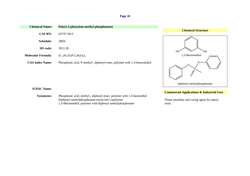| <b>Chemical Name:</b>     | $Poly(1,3\text{-phenylene methyl phosphate})$                            |
|---------------------------|--------------------------------------------------------------------------|
| <b>CAS RN:</b>            | 63747-58-0                                                               |
| <b>Schedule:</b>          | 2B <sub>04</sub>                                                         |
| <b>HS</b> code:           | 3911.20                                                                  |
| <b>Molecular Formula:</b> | $(C_{13}H_{13}O_3P.C_6H_6O_2)_x$                                         |
| <b>CAS Index Name:</b>    | Phosphonic acid, P-methyl-, diphenyl ester, polymer with 1,3-benzenediol |
|                           |                                                                          |





# **IUPAC Name:**

**Synonyms:** Phosphonic acid, methyl-, diphenyl ester, polymer with 1,3-bezenediol Diphenyl methylphosphonate-resorcinol copolymer Flame retardant and curing agent for epoxy 1,3-Benzenediol, polymer with diphenyl methylphosphonate resin.

**Commercial Applications & Industrial Uses**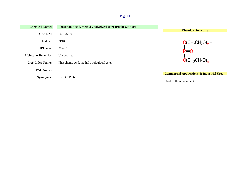| <b>Chemical Name:</b>     | Phosphonic acid, methyl-, polyglycol ester (Exolit OP 560) |                                                      |
|---------------------------|------------------------------------------------------------|------------------------------------------------------|
| <b>CAS RN:</b>            | 663176-00-9                                                | <b>Chemical Structure</b>                            |
| <b>Schedule:</b>          | 2B04                                                       | $O(CH_2CH_2O)_mH$                                    |
| <b>HS</b> code:           | 3824.92                                                    | $P=0$                                                |
| <b>Molecular Formula:</b> | Unspecified                                                |                                                      |
| <b>CAS Index Name:</b>    | Phosphonic acid, methyl-, polyglycol ester                 | $O(CH_2CH_2O)_{n}H$                                  |
| <b>IUPAC Name:</b>        |                                                            |                                                      |
| <b>Synonyms:</b>          | Exolit OP 560                                              | <b>Commercial Applications &amp; Industrial Uses</b> |
|                           |                                                            | Used as flame retardant.                             |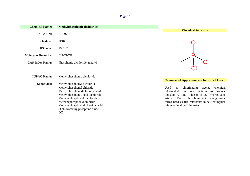| <b>Chemical Name:</b>     | Methylphosphonic dichloride                                                                                                                                                                                                                                              |                                                                                                                                                                                                                                                                                            |
|---------------------------|--------------------------------------------------------------------------------------------------------------------------------------------------------------------------------------------------------------------------------------------------------------------------|--------------------------------------------------------------------------------------------------------------------------------------------------------------------------------------------------------------------------------------------------------------------------------------------|
| <b>CAS RN:</b>            | $676-97-1$                                                                                                                                                                                                                                                               | <b>Chemical Structure</b>                                                                                                                                                                                                                                                                  |
| <b>Schedule:</b>          | 2B04                                                                                                                                                                                                                                                                     |                                                                                                                                                                                                                                                                                            |
| <b>HS</b> code:           | 2931.51                                                                                                                                                                                                                                                                  |                                                                                                                                                                                                                                                                                            |
| <b>Molecular Formula:</b> | CH <sub>3</sub> Cl <sub>2</sub> OP                                                                                                                                                                                                                                       |                                                                                                                                                                                                                                                                                            |
| <b>CAS Index Name:</b>    | Phosphonic dichloride, methyl-                                                                                                                                                                                                                                           |                                                                                                                                                                                                                                                                                            |
|                           |                                                                                                                                                                                                                                                                          |                                                                                                                                                                                                                                                                                            |
| <b>IUPAC Name:</b>        | Methylphosphonic dichloride                                                                                                                                                                                                                                              | <b>Commercial Applications &amp; Industrial Uses</b>                                                                                                                                                                                                                                       |
| <b>Synonyms:</b>          | Methylphosphonyl dichloride<br>Methylphosphonyl chloride<br>Methylphosphonodichloridic acid<br>Methylphosphonic acid dichloride<br>Methanephosphonyl dichloride<br>Methanephosphonyl chloride<br>Methanephosphonodichloridic acid<br>Dichloromethylphosphine oxide<br>DC | chlorinating<br>Used<br>chemical<br>agent,<br>as<br>intermediate<br>and raw material<br>produce<br>to<br>Phosdiol-A and Phospolyol-2, hydroxilated<br>esters of Methyl phosphonic acid in oligomeric<br>forms used as fire retardants in self-extinguish<br>mixtures in aircraft industry. |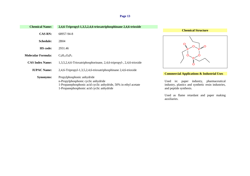| <b>Chemical Name:</b>     |                                                                      |                                                      |
|---------------------------|----------------------------------------------------------------------|------------------------------------------------------|
|                           | 2,4,6-Tripropyl-1,3,5,2,4,6-trioxatriphosphinane 2,4,6-trioxide      | <b>Chemical Structure</b>                            |
| <b>CAS RN:</b>            | 68957-94-8                                                           |                                                      |
|                           |                                                                      |                                                      |
| <b>Schedule:</b>          | 2B04                                                                 |                                                      |
|                           |                                                                      |                                                      |
| HS code:                  | 2931.46                                                              |                                                      |
|                           |                                                                      |                                                      |
| <b>Molecular Formula:</b> | $C_9H_{21}O_6P_3$                                                    |                                                      |
|                           |                                                                      |                                                      |
| <b>CAS Index Name:</b>    | 1,3,5,2,4,6-Trioxatriphosphorinane, 2,4,6-tripropyl-, 2,4,6-trioxide |                                                      |
| <b>IUPAC Name:</b>        | 2,4,6-Tripropyl-1,3,5,2,4,6-trioxatriphosphinane 2,4,6-trioxide      |                                                      |
|                           |                                                                      | <b>Commercial Applications &amp; Industrial Uses</b> |
| <b>Synonyms:</b>          | Propylphosphonic anhydride                                           |                                                      |
|                           | n-Propylphosphonic cyclic anhydride                                  | industry,<br>pharmaceutical<br>Used<br>in:<br>paper  |
|                           | 1-Propanephosphonic acid cyclic anhydride, 50% in ethyl acetate      | industry, plastics and synthetic resin industries,   |
|                           | 1-Propanephosphonic acid cyclic anhydride                            | and peptide synthesis.                               |
|                           |                                                                      |                                                      |
|                           |                                                                      |                                                      |

Used as flame retardant and paper making auxiliaries.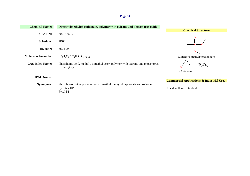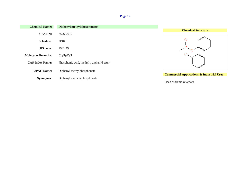| <b>Chemical Name:</b>     | <b>Diphenyl methylphosphonate</b>        |                                                      |
|---------------------------|------------------------------------------|------------------------------------------------------|
|                           |                                          | <b>Chemical Structure</b>                            |
| <b>CAS RN:</b>            | 7526-26-3                                |                                                      |
| <b>Schedule:</b>          | 2B04                                     |                                                      |
| HS code:                  | 2931.49                                  |                                                      |
| <b>Molecular Formula:</b> | $C_{13}H_{13}O_3P$                       |                                                      |
| <b>CAS Index Name:</b>    | Phosphonic acid, methyl-, diphenyl ester |                                                      |
| <b>IUPAC Name:</b>        | Diphenyl methylphosphonate               |                                                      |
|                           |                                          | <b>Commercial Applications &amp; Industrial Uses</b> |
| <b>Synonyms:</b>          | Diphenyl methanephosphonate              |                                                      |
|                           |                                          | Used as flame retardant.                             |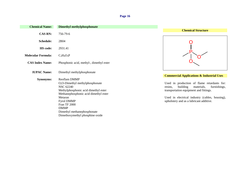| <b>Chemical Name:</b>     | <b>Dimethyl methylphosphonate</b>                                                                                                                                   |                                                                                                                                                                                                                                         |
|---------------------------|---------------------------------------------------------------------------------------------------------------------------------------------------------------------|-----------------------------------------------------------------------------------------------------------------------------------------------------------------------------------------------------------------------------------------|
|                           |                                                                                                                                                                     | <b>Chemical Structure</b>                                                                                                                                                                                                               |
| <b>CAS RN:</b>            | 756-79-6                                                                                                                                                            |                                                                                                                                                                                                                                         |
| <b>Schedule:</b>          | 2B04                                                                                                                                                                |                                                                                                                                                                                                                                         |
| <b>HS</b> code:           | 2931.41                                                                                                                                                             |                                                                                                                                                                                                                                         |
| <b>Molecular Formula:</b> | $C_3H_9O_3P$                                                                                                                                                        |                                                                                                                                                                                                                                         |
| <b>CAS Index Name:</b>    | Phosphonic acid, methyl-, dimethyl ester                                                                                                                            |                                                                                                                                                                                                                                         |
| <b>IUPAC Name:</b>        | Dimethyl methylphosphonate                                                                                                                                          | <b>Commercial Applications &amp; Industrial Uses</b>                                                                                                                                                                                    |
| <b>Synonyms:</b>          | Reoflam DMMP                                                                                                                                                        |                                                                                                                                                                                                                                         |
|                           | O,O-Dimethyl methylphosphonate<br><b>NSC 62240</b><br>Methylphosphonic acid dimethyl ester<br>Methanephosphonic acid dimethyl ester<br>Metaran<br><b>Fyrol DMMP</b> | Used in production of flame retardants for:<br>building<br>resins,<br>materials,<br>furnishings,<br>transportation equipment and fittings.<br>Used in electrical industry (cables, housing),<br>upholstery and as a lubricant additive. |
|                           | Fran TF 2000<br><b>DMMP</b><br>Dimethyl methanephosphonate<br>Dimethoxymethyl phosphine oxide                                                                       |                                                                                                                                                                                                                                         |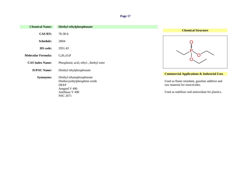| <b>Chemical Name:</b>     | Diethyl ethylphosphonate               |                                                      |
|---------------------------|----------------------------------------|------------------------------------------------------|
|                           |                                        | <b>Chemical Structure</b>                            |
| <b>CAS RN:</b>            | 78-38-6                                |                                                      |
| <b>Schedule:</b>          | 2B04                                   |                                                      |
| <b>HS</b> code:           | 2931.43                                |                                                      |
| <b>Molecular Formula:</b> | $C_6H_{15}O_3P$                        |                                                      |
| <b>CAS Index Name:</b>    | Phosphonic acid, ethyl-, diethyl ester |                                                      |
| <b>IUPAC Name:</b>        | Diethyl ethylphosphonate               |                                                      |
|                           |                                        | <b>Commercial Applications &amp; Industrial Uses</b> |
| <b>Synonyms:</b>          | Diethyl ethanephosphonate              |                                                      |
|                           | Diethoxyethylphosphine oxide           | Used as flame retardant, gasoline additive and       |
|                           | <b>DEEP</b>                            | raw material for insecticides.                       |
|                           | Amgard V 490                           |                                                      |
|                           | Antiblaze V 490                        | Used as stabiliser and antioxidant for plastics.     |
|                           | <b>NSC 2671</b>                        |                                                      |
|                           |                                        |                                                      |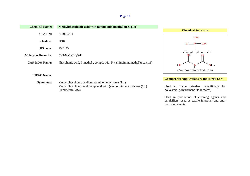| <b>Chemical Name:</b>     | Methylphosphonic acid with (aminoiminomethyl)urea (1:1)                                   |                                                                                          |
|---------------------------|-------------------------------------------------------------------------------------------|------------------------------------------------------------------------------------------|
|                           |                                                                                           | <b>Chemical Structure</b>                                                                |
| <b>CAS RN:</b>            | 84402-58-4                                                                                |                                                                                          |
| <b>Schedule:</b>          | 2B04                                                                                      | OН                                                                                       |
|                           |                                                                                           | $O = P$ $\rightarrow$ OH                                                                 |
| <b>HS</b> code:           | 2931.45                                                                                   |                                                                                          |
| <b>Molecular Formula:</b> | $C_2H_6N_4O.CH_5O_3P$                                                                     | methyl phosphonic acid<br>NН                                                             |
| <b>CAS Index Name:</b>    | Phosphonic acid, P-methyl-, compd. with N-(aminoiminomethyl)urea (1:1)                    | $H_2N$<br>NH <sub>2</sub>                                                                |
|                           |                                                                                           | (Aminoiminomethyl)Urea                                                                   |
| <b>IUPAC Name:</b>        |                                                                                           |                                                                                          |
|                           |                                                                                           | <b>Commercial Applications &amp; Industrial Uses</b>                                     |
| <b>Synonyms:</b>          | Methylphosphonic acid/aminoiminomethyl)urea (1:1)                                         |                                                                                          |
|                           | Methylphosphonic acid compound with (aminoiminomethyl)urea (1:1)<br><b>Flammentin MSG</b> | flame retardant (specifically for<br>Used<br>as<br>polyesters, polyurethane (PU) foams). |

Used in production of cleaning agents and emulsifiers; used as textile improver and anticorrosion agents.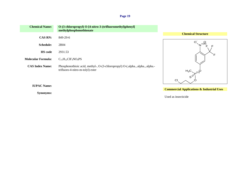| <b>Chemical Name:</b>     | O-(3-chloropropyl) O-[4-nitro-3-(trifluoromethyl)phenyl]<br>methylphosphonothionate                               |                                 |
|---------------------------|-------------------------------------------------------------------------------------------------------------------|---------------------------------|
|                           |                                                                                                                   | <b>Chemical Structure</b>       |
| <b>CAS RN:</b>            | 849-29-6                                                                                                          |                                 |
| <b>Schedule:</b>          | 2B04                                                                                                              | O                               |
| <b>HS</b> code            | 2931.53                                                                                                           | F                               |
| <b>Molecular Formula:</b> | $C_{11}H_{12}CIF_3NO_4PS$                                                                                         |                                 |
| <b>CAS Index Name:</b>    | Phosphonothioic acid, methyl-, O-(3-chloropropyl) O-(.alpha.,.alpha.,.alpha.-<br>trifluoro-4-nitro-m-tolyl) ester | $H_3C$<br>$s^{\geq P^{(V)}(V)}$ |
|                           |                                                                                                                   |                                 |

**IUPAC Name:**

**Synonyms:**

**Commercial Applications & Industrial Uses**

O

Used as insecticide

Cl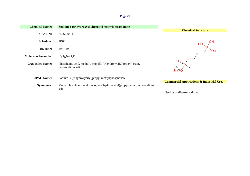| <b>Chemical Name:</b>     | Sodium 3-(trihydroxysilyl)propyl methylphosphonate                                  |                                                      |
|---------------------------|-------------------------------------------------------------------------------------|------------------------------------------------------|
| <b>CAS RN:</b>            | 84962-98-1                                                                          | <b>Chemical Structure</b>                            |
| <b>Schedule:</b>          | 2B04                                                                                | OН<br>HС                                             |
| <b>HS</b> code:           | 2931.49                                                                             | OH                                                   |
| <b>Molecular Formula:</b> | $C_4H_{12}NaO_6PSi$                                                                 |                                                      |
| <b>CAS Index Name:</b>    | Phosphonic acid, methyl-, mono[3-(trihydroxysilyl)propyl] ester,<br>monosodium salt | $\oplus$<br>Na <sup>°</sup> O                        |
| <b>IUPAC Name:</b>        | Sodium 3-(trihydroxysilyl)propyl methylphosphonate                                  |                                                      |
| <b>Synonyms:</b>          | Methylphosphonic acid mono[3-(trihydroxysilyl)propyl] ester, monosodium<br>salt     | <b>Commercial Applications &amp; Industrial Uses</b> |
|                           |                                                                                     | Used as antifreeze additive.                         |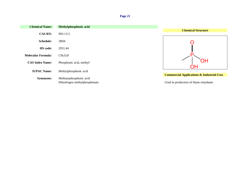| <b>Chemical Name:</b>     | Methylphosphonic acid            |                                                      |
|---------------------------|----------------------------------|------------------------------------------------------|
|                           |                                  | <b>Chemical Structure</b>                            |
| <b>CAS RN:</b>            | $993 - 13 - 5$                   |                                                      |
| <b>Schedule:</b>          | 2B04                             |                                                      |
| HS code:                  | 2931.44                          |                                                      |
| <b>Molecular Formula:</b> | CH <sub>5</sub> O <sub>3</sub> P |                                                      |
| <b>CAS Index Name:</b>    | Phosphonic acid, methyl-         | ЭH                                                   |
| <b>IUPAC Name:</b>        | Methylphosphonic acid            |                                                      |
| <b>Synonyms:</b>          | Methanephosphonic acid           | <b>Commercial Applications &amp; Industrial Uses</b> |
|                           | Dihydrogen methylphosphonate     | Used in production of flame retardants.              |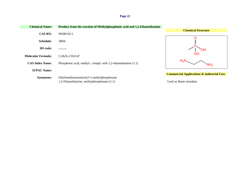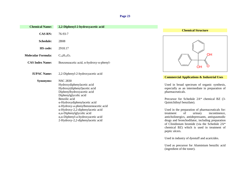| <b>Chemical Name:</b>     | 2,2-Diphenyl-2-hydroxyacetic acid                                                                                                                                          |                                                                                                                                                                                     |
|---------------------------|----------------------------------------------------------------------------------------------------------------------------------------------------------------------------|-------------------------------------------------------------------------------------------------------------------------------------------------------------------------------------|
| <b>CAS RN:</b>            | 76-93-7                                                                                                                                                                    | <b>Chemical Structure</b>                                                                                                                                                           |
| <b>Schedule:</b>          | 2B08                                                                                                                                                                       |                                                                                                                                                                                     |
| HS code:                  | 2918.17                                                                                                                                                                    |                                                                                                                                                                                     |
| <b>Molecular Formula:</b> | $C_{14}H_{12}O_3$                                                                                                                                                          |                                                                                                                                                                                     |
| <b>CAS Index Name:</b>    | Benzeneacetic acid, $\alpha$ -hydroxy- $\alpha$ -phenyl-                                                                                                                   | OH                                                                                                                                                                                  |
| <b>IUPAC Name:</b>        | 2,2-Diphenyl-2-hydroxyacetic acid                                                                                                                                          |                                                                                                                                                                                     |
| <b>Synonyms:</b>          | <b>NSC 2830</b><br>Hydroxydiphenylacetic acid<br>Hydroxy(diphenyl)acetic acid<br>Diphenylhydroxyacetic acid<br>Diphenylglycolic acid                                       | <b>Commercial Applications &amp; Indu</b><br>Used in broad spectrum of organ<br>especially as an intermediate in p<br>pharmaceuticals.                                              |
|                           | Benzilic acid<br>$\alpha$ -Hydroxydiphenylacetic acid<br>α-Hydroxy-a-phenylbenzeneacetic acid                                                                              | Precursor for Schedule 2A* chen<br>Quiniclidinyl benzilate).                                                                                                                        |
|                           | α-Hydroxy-2,2-diphenylacetic acid<br>$\alpha$ , $\alpha$ -Diphenylglycolic acid<br>$\alpha$ , $\alpha$ -Diphenyl-a-hydroxyacetic acid<br>2-Hydroxy-2,2-diphenylacetic acid | Used in the preparation of pharma<br>of<br>treatment<br>urinary<br>anticholinergics, antidepressants, a<br>drugs and bronchodilator, including<br>of Clinidinium bromide (via the S |



#### **Commercial Applications & Industrial Uses**

spectrum of organic synthesis, n intermediate in preparation of pharmaceuticals.

Schedule  $2A^*$  chemical BZ (3enzilate).

paration of pharmaceuticals for:<br>of urinary incontinence,  $\overline{f}$  urinary incontinence, , antidepressants, antispasmodic chodilator, including preparation bromide (via the Schedule  $2A^*$ chemical BZ) which is used in treatment of peptic ulcers.

Used in industry of dyestuff and acaricides.

Used as precursor for Aluminium benzilic acid (ingredient of the toner).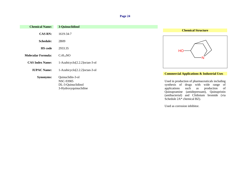| <b>Chemical Name:</b>     | 3-Quinuclidinol                                                              |                                                                                                                                                                                                                                                                                                       |
|---------------------------|------------------------------------------------------------------------------|-------------------------------------------------------------------------------------------------------------------------------------------------------------------------------------------------------------------------------------------------------------------------------------------------------|
|                           |                                                                              | <b>Chemical Structure</b>                                                                                                                                                                                                                                                                             |
| <b>CAS RN:</b>            | 1619-34-7                                                                    |                                                                                                                                                                                                                                                                                                       |
| <b>Schedule:</b>          | 2B09                                                                         |                                                                                                                                                                                                                                                                                                       |
| <b>HS</b> code            | 2933.35                                                                      | HO                                                                                                                                                                                                                                                                                                    |
| <b>Molecular Formula:</b> | $C_7H_{13}NO$                                                                |                                                                                                                                                                                                                                                                                                       |
| <b>CAS Index Name:</b>    | 1-Azabicyclo <sup>[2.2.2]</sup> octan-3-ol                                   |                                                                                                                                                                                                                                                                                                       |
| <b>IUPAC Name:</b>        | 1-Azabicyclo[2.2.2]octan-3-ol                                                |                                                                                                                                                                                                                                                                                                       |
| <b>Synonyms:</b>          | Quinuclidin-3-ol<br>NSC-93905<br>DL-3-Quinuclidinol<br>3-Hydroxyquinuclidine | <b>Commercial Applications &amp; Industrial Uses</b><br>Used in production of pharmaceuticals including<br>synthesis of drugs with wide range of<br>production<br>of<br>applications<br>such<br>as<br>Quinupramine<br>(antidepressant), Quinupristin<br>and Clidinium bromide (via<br>(antibacterial) |

Used as corrosion inhibitor.

Schedule 2A\* chemical BZ).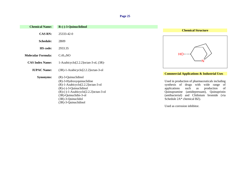| <b>Chemical Name:</b>     | $R$ - $(-)$ -3-Quinuclidinol                                                                                                                                                                                                                            |                                                                                                                                                                                                                                                                       |
|---------------------------|---------------------------------------------------------------------------------------------------------------------------------------------------------------------------------------------------------------------------------------------------------|-----------------------------------------------------------------------------------------------------------------------------------------------------------------------------------------------------------------------------------------------------------------------|
| <b>CAS RN:</b>            | 25333-42-0                                                                                                                                                                                                                                              | <b>Chemical Structure</b>                                                                                                                                                                                                                                             |
| Schedule:                 | 2B09                                                                                                                                                                                                                                                    |                                                                                                                                                                                                                                                                       |
| <b>HS</b> code:           | 2933.35                                                                                                                                                                                                                                                 |                                                                                                                                                                                                                                                                       |
| <b>Molecular Formula:</b> | $C_7H_{13}NO$                                                                                                                                                                                                                                           |                                                                                                                                                                                                                                                                       |
| <b>CAS Index Name:</b>    | 1-Azabicyclo $[2.2.2]$ octan-3-ol, $(3R)$ -                                                                                                                                                                                                             |                                                                                                                                                                                                                                                                       |
| <b>IUPAC Name:</b>        | $(3R)$ -1-Azabicyclo $[2.2.2]$ octan-3-ol                                                                                                                                                                                                               | <b>Commercial Applications &amp; Industrial Uses</b>                                                                                                                                                                                                                  |
| Synonyms:                 | $(R)-3$ -Quinuclidinol<br>$(R)$ -3-Hydroxyquinuclidine<br>(R)-1-Azabicyclo[2.2.2]octan-3-ol<br>$(R)$ - $(-)$ -3-Quinuclidinol<br>$(R)$ -(-)-1-Azabicyclo[2.2.2] octan-3-ol<br>(3R)-Quinuclidin-3-ol<br>$(3R)$ -3-Quinuclidol<br>$(3R)$ -3-Quinuclidinol | Used in production of pharmaceuticals including<br>synthesis of drugs with wide range of<br>production<br>applications<br>such<br>of<br>as<br>Quinupramine (antidepressant), Quinupristin<br>(antibacterial) and Clidinium bromide (via<br>Schedule 2A* chemical BZ). |
|                           |                                                                                                                                                                                                                                                         | Used as corrosion inhibitor.                                                                                                                                                                                                                                          |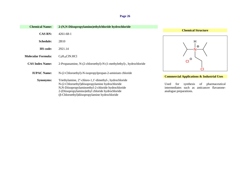| <b>Chemical Name:</b>     | 2-(N,N-Diisopropylamino)ethylchloride hydrochloride                                                                                                                                                                                                                  |                                                                                                                                                                                   |
|---------------------------|----------------------------------------------------------------------------------------------------------------------------------------------------------------------------------------------------------------------------------------------------------------------|-----------------------------------------------------------------------------------------------------------------------------------------------------------------------------------|
|                           |                                                                                                                                                                                                                                                                      | <b>Chemical Structure</b>                                                                                                                                                         |
| <b>CAS RN:</b>            | $4261 - 68 - 1$                                                                                                                                                                                                                                                      |                                                                                                                                                                                   |
| Schedule:                 | 2B10                                                                                                                                                                                                                                                                 | Н                                                                                                                                                                                 |
| <b>HS</b> code:           | 2921.14                                                                                                                                                                                                                                                              | $\oplus$                                                                                                                                                                          |
| <b>Molecular Formula:</b> | $C_8H_{18}CIN.HCl$                                                                                                                                                                                                                                                   |                                                                                                                                                                                   |
| <b>CAS Index Name:</b>    | 2-Propanamine, N-(2-chloroethyl)-N-(1-methylethyl)-, hydrochloride                                                                                                                                                                                                   | $\Theta$<br><b>CI</b><br>С                                                                                                                                                        |
| <b>IUPAC Name:</b>        | N-(2-Chloroethyl)-N-isopropylpropan-2-aminium chloride                                                                                                                                                                                                               |                                                                                                                                                                                   |
| <b>Synonyms:</b>          | Triethylamine, 2"-chloro-1,1'-dimethyl-, hydrochloride<br>N-(2-Chloroethyl)diisopropylamine hydrochloride<br>N,N-Diisopropylaminoethyl-2-chloride hydrochloride<br>2-(Diisopropylamino)ethyl chloride hydrochloride<br>(β-Chloroethyl)diisopropylamine hydrochloride | <b>Commercial Applications &amp; Industrial Uses</b><br>Used<br>of<br>pharmaceutical<br>for<br>synthesis<br>intermediates such as anticancer flavanone-<br>analogue preparations. |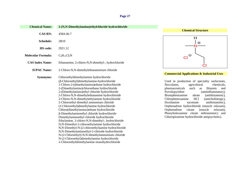| <b>Chemical Name:</b>     | 2-(N,N-Dimethylamino)ethylchloride hydrochloride                                                                                                                                                                                                                                                                                                                                                                                                                                                                                                                                                                                                                                                                                                                                                                                                                                                                                                    |  |
|---------------------------|-----------------------------------------------------------------------------------------------------------------------------------------------------------------------------------------------------------------------------------------------------------------------------------------------------------------------------------------------------------------------------------------------------------------------------------------------------------------------------------------------------------------------------------------------------------------------------------------------------------------------------------------------------------------------------------------------------------------------------------------------------------------------------------------------------------------------------------------------------------------------------------------------------------------------------------------------------|--|
| <b>CAS RN:</b>            | 4584-46-7                                                                                                                                                                                                                                                                                                                                                                                                                                                                                                                                                                                                                                                                                                                                                                                                                                                                                                                                           |  |
| Schedule:                 | 2B10                                                                                                                                                                                                                                                                                                                                                                                                                                                                                                                                                                                                                                                                                                                                                                                                                                                                                                                                                |  |
| HS code:                  | 2921.12                                                                                                                                                                                                                                                                                                                                                                                                                                                                                                                                                                                                                                                                                                                                                                                                                                                                                                                                             |  |
| <b>Molecular Formula:</b> | $C_4H_{11}Cl_2N$                                                                                                                                                                                                                                                                                                                                                                                                                                                                                                                                                                                                                                                                                                                                                                                                                                                                                                                                    |  |
| <b>CAS Index Name:</b>    | Ethanamine, 2-chloro-N,N-dimethyl-, hydrochloride                                                                                                                                                                                                                                                                                                                                                                                                                                                                                                                                                                                                                                                                                                                                                                                                                                                                                                   |  |
| <b>IUPAC Name:</b>        | 2-Chloro-N,N-dimethylethanaminium chloride                                                                                                                                                                                                                                                                                                                                                                                                                                                                                                                                                                                                                                                                                                                                                                                                                                                                                                          |  |
| <b>Synonyms:</b>          | Chloroethyldimethylamine hydrochloride<br>$(\beta$ -Chloroethyl)dimethylamine-hydrochloride<br>1-Chloro-2-(dimethylamino)ethane hydrochloride<br>2-(Dimethylamino)chloroethane hydrochloride<br>2-(Dimethylamino)ethyl chloride hydrochloride<br>2-Chloro-N,N-dimethylethanamine hydrochloride<br>2-Chloro-N,N-dimethylethylamine hydrochloride<br>2-Chloroethyl dimethyl ammonium chloride<br>(2-Chloroethyl)dimethylamine hydrochloride<br>Chloro(dimethylamino)ethane hydrochloride<br>β-Dimethylaminoethyl chloride hydrochloride<br>Dimethylaminoethyl chloride hydrochloride<br>Ethylamine, 2-chloro-N,N-dimethyl-, hydrochloride<br>N,N-Dimethyl-2-chloroethylamine hydrochloride<br>N,N-Dimethyl-N-(2-chloroethyl)amine hydrochloride<br>N,N-Dimethylaminoethyl-2-chloride hydrochloride<br>N-(2-Chloroethyl)-N,N-dimethylammonium chloride<br>N-(2-Chloroethyl)dimethylamine hydrochloride<br>2-Chloroethyldimethylamine monohydrochloride |  |





## **Commercial Applications & Industrial Uses**

Used in production of speciality surfactants,<br>flocculants, agricultural chemicals, flocculants, agricultural chemicals,<br>pharmaceuticals such as Iltiazem and pharmaceuticals such as Iltiazem and<br>Pyrrolopyridine (antiinflammatory), (antiinflammatory),<br>(antihistaminic), Brompheniramine aleate (antihistaminic),<br>Chlorphenoxamine HCl (anticholinergic), Chlorphenoxamine HCl<br>Doxilamine sucoinate  $antihistamine$ ), Orphenadrine hydrochloride (muscle relaxant), Orphenadrine citrate (muscle relaxant), Phenyltoloxamine citrate ntihistaminic) and Chloropiramine hydrochloride antipsychotic).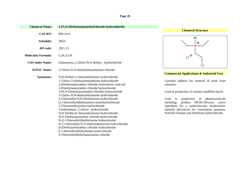| <b>Chemical Name:</b>     | 2-(N,N-Diethylamino)ethylchloride hydrochloride                                                                                                                                                                                                                                                                                                                                                                                                                                                                                                                                                                                                                                                                                                                                                                                               |
|---------------------------|-----------------------------------------------------------------------------------------------------------------------------------------------------------------------------------------------------------------------------------------------------------------------------------------------------------------------------------------------------------------------------------------------------------------------------------------------------------------------------------------------------------------------------------------------------------------------------------------------------------------------------------------------------------------------------------------------------------------------------------------------------------------------------------------------------------------------------------------------|
| <b>CAS RN:</b>            | 869-24-9                                                                                                                                                                                                                                                                                                                                                                                                                                                                                                                                                                                                                                                                                                                                                                                                                                      |
| <b>Schedule:</b>          | 2B10                                                                                                                                                                                                                                                                                                                                                                                                                                                                                                                                                                                                                                                                                                                                                                                                                                          |
| HS code:                  | 2921.13                                                                                                                                                                                                                                                                                                                                                                                                                                                                                                                                                                                                                                                                                                                                                                                                                                       |
| <b>Molecular Formula:</b> | $C_6H_{15}Cl_2N$                                                                                                                                                                                                                                                                                                                                                                                                                                                                                                                                                                                                                                                                                                                                                                                                                              |
| <b>CAS Index Name:</b>    | Ethanamine, 2-chloro-N, N-diethyl-, hydrochloride                                                                                                                                                                                                                                                                                                                                                                                                                                                                                                                                                                                                                                                                                                                                                                                             |
| <b>IUPAC Name:</b>        | 2-Chloro-N,N-diethylethanaminium chloride                                                                                                                                                                                                                                                                                                                                                                                                                                                                                                                                                                                                                                                                                                                                                                                                     |
| <b>Synonyms:</b>          | N,N-Diethyl-2-chloroethylamine hydrochloride<br>1-Chloro-2-(diethylamino)ethane hydrochloride<br>2-(Diethylamino)ethyl chloride hydrochloric acid salt<br>2-(Diethylamino)ethyl chloride hydrochloride<br>2-(N,N-Diethylamino)ethyl chloride hydrochloride<br>2-Chloro-N,N-diethylethylamine hydrochloride<br>2-Chloroethyl-N,N-diethylamine hydrochloride<br>(2-Chloroethyl)diethylamine monohydrochloride<br>2-Chlorotriethylamine hydrochloride<br>Triethylamine, 2-chloro-, hydrochloride<br>N,N-Diethyl-β-chloroethylamine hydrochloride<br>N,N-Diethylaminoethyl chloride hydrochloride<br>N-(2-Chloroethyl)diethylamine hydrochloride<br>N-2-Chloroethyl-N,N-diethylammonium hydrochloride<br>β-(Diethylamino) ethyl chloride hydrochloride<br>$\beta$ -Chloroethyldiethylamine hydrochloride<br>2-Chloroethyldiethylammonium chloride |



### **Commercial Applications & Industrial Uses**

Gasoline additive for removal of acids from solutions.

Used in production of cationic modified starch.

Used in production of pharmaceuticals including: product DEAE-Dextran, active ingredient for a cardiovascular medicament, tiamulin derivatives for veterinarian purposes, Nafronil Oxalate and Drofenine hydrochloride.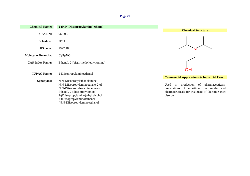| <b>Chemical Name:</b>     | 2-(N,N-Diisopropylamino)ethanol       |                                                      |
|---------------------------|---------------------------------------|------------------------------------------------------|
|                           |                                       | <b>Chemical Structure</b>                            |
| <b>CAS RN:</b>            | $96 - 80 - 0$                         |                                                      |
| <b>Schedule:</b>          | 2B11                                  |                                                      |
| HS code:                  | 2922.18                               |                                                      |
| <b>Molecular Formula:</b> | $C_8H_{19}NO$                         |                                                      |
| <b>CAS Index Name:</b>    | Ethanol, 2-[bis(1-methylethyl)amino]- | OH                                                   |
| <b>IUPAC Name:</b>        | 2-Diisopropylaminoethanol             |                                                      |
|                           |                                       | <b>Commercial Applications &amp; Industrial Uses</b> |
| <b>Synonyms:</b>          | N,N-Diisopropylethanolamine           |                                                      |
|                           | N,N-Diisopropylaminoethane-2-ol       | production of<br>pharmaceuticals:<br>Used<br>in      |
|                           | N,N-Diisopropyl-2-aminoethanol        | preparations of substituted benzamides and           |
|                           | Ethanol, 2-(diisopropylamino)-        | pharmaceuticals for treatment of digestive tract     |
|                           | 2-(Diisopropylamino)ethyl alcohol     | disorder.                                            |
|                           | 2-(Diisopropylamino) ethanol          |                                                      |
|                           | (N,N-Diisopropylamino)ethanol         |                                                      |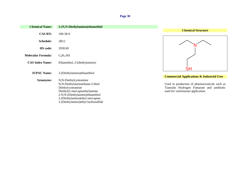| <b>Chemical Name:</b>     | 2-(N,N-Diethylamino)ethanethiol                                                                                                                                                                                             |                                                                                                                                  |
|---------------------------|-----------------------------------------------------------------------------------------------------------------------------------------------------------------------------------------------------------------------------|----------------------------------------------------------------------------------------------------------------------------------|
| <b>CAS RN:</b>            | 100-38-9                                                                                                                                                                                                                    | <b>Chemical Structure</b>                                                                                                        |
| <b>Schedule:</b>          | 2B12                                                                                                                                                                                                                        |                                                                                                                                  |
| <b>HS</b> code:           | 2930.60                                                                                                                                                                                                                     |                                                                                                                                  |
| <b>Molecular Formula:</b> | $C_6H_{15}NS$                                                                                                                                                                                                               |                                                                                                                                  |
| <b>CAS Index Name:</b>    | Ethanethiol, 2-(diethylamino)-                                                                                                                                                                                              | <b>SH</b>                                                                                                                        |
| <b>IUPAC Name:</b>        | 2-(Diethylamino) ethanethiol                                                                                                                                                                                                | <b>Commercial Applications &amp; Industrial Uses</b>                                                                             |
| <b>Synonyms:</b>          | N,N-Diethylcysteamine<br>N,N-Diethylaminoethane-2-thiol<br>Diethylcysteamine<br>Diethyl(2-mercaptoethyl)amine<br>2-N,N-(Diethylamino)ethanethiol<br>2-(Diethylamino) ethyl mercaptan<br>2-(Diethylamino) ethyl hydrosulfide | Used in production of pharmaceuticals such as<br>Tiamulin Hydrogen Fumarate and antibiotic<br>used for veterinarian application. |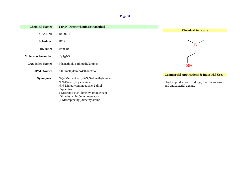| <b>Chemical Name:</b>     | 2-(N,N-Dimethylamino)ethanethiol      |                                                      |
|---------------------------|---------------------------------------|------------------------------------------------------|
| <b>CAS RN:</b>            | $108 - 02 - 1$                        | <b>Chemical Structure</b>                            |
| Schedule:                 | 2B12                                  |                                                      |
| <b>HS</b> code:           | 2930.10                               |                                                      |
| <b>Molecular Formula:</b> | $C_4H_{11}NS$                         |                                                      |
| <b>CAS Index Name:</b>    | Ethanethiol, 2-(dimethylamino)-       | <b>SH</b>                                            |
| <b>IUPAC Name:</b>        | 2-(Dimethylamino) ethanethiol         | <b>Commercial Applications &amp; Industrial Uses</b> |
| Synonyms:                 | N-(2-Mercaptoethyl)-N,N-dimethylamine |                                                      |
|                           | N,N-Dimethylcysteamine                | Used in production of drugs, food flavourings        |
|                           | N,N-Dimethylaminoethane-2-thiol       | and antibacterial agents.                            |
|                           | Captamine                             |                                                      |
|                           | 2-Mercapto-N,N-dimethylaminoethane    |                                                      |
|                           | (Dimethylamino) ethyl mercaptan       |                                                      |
|                           | (2-Mercaptoethyl)dimethylamine        |                                                      |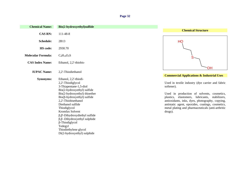| <b>Chemical Name:</b>     | Bis(2-hydroxyethyl)sulfide                                                                                                                                                                                                                                                                                                                                                                                                                                       |                                                                                                                                                                                                                                                                                                                                                                                                  |
|---------------------------|------------------------------------------------------------------------------------------------------------------------------------------------------------------------------------------------------------------------------------------------------------------------------------------------------------------------------------------------------------------------------------------------------------------------------------------------------------------|--------------------------------------------------------------------------------------------------------------------------------------------------------------------------------------------------------------------------------------------------------------------------------------------------------------------------------------------------------------------------------------------------|
| <b>CAS RN:</b>            | 111-48-8                                                                                                                                                                                                                                                                                                                                                                                                                                                         | <b>Chemical Structure</b>                                                                                                                                                                                                                                                                                                                                                                        |
| <b>Schedule:</b>          | 2B13                                                                                                                                                                                                                                                                                                                                                                                                                                                             | HO                                                                                                                                                                                                                                                                                                                                                                                               |
| <b>HS</b> code:           | 2930.70                                                                                                                                                                                                                                                                                                                                                                                                                                                          |                                                                                                                                                                                                                                                                                                                                                                                                  |
| <b>Molecular Formula:</b> | $C_4H_{10}O_2S$                                                                                                                                                                                                                                                                                                                                                                                                                                                  | S                                                                                                                                                                                                                                                                                                                                                                                                |
| <b>CAS Index Name:</b>    | Ethanol, 2,2'-thiobis-                                                                                                                                                                                                                                                                                                                                                                                                                                           |                                                                                                                                                                                                                                                                                                                                                                                                  |
| <b>IUPAC Name:</b>        | 2,2'-Thiodiethanol                                                                                                                                                                                                                                                                                                                                                                                                                                               | ΟH                                                                                                                                                                                                                                                                                                                                                                                               |
| <b>Synonyms:</b>          | Ethanol, 2,2'-thiodi-<br>2,2'-Thiodiglycol<br>3-Thiapentane-1,5-diol<br>Bis(2-hydroxyethyl) sulfide<br>Bis(2-hydroxyethyl) thioether<br>$\text{Bis}(\beta\text{-hydroxyethyl})$ sulfide<br>2,2'-Thiobisethanol<br>Diethanol sulfide<br>Thiodiglycol<br>Kromfax Solvent<br>$\beta$ , $\beta$ '-Dihydroxydiethyl sulfide<br>$\beta$ , $\beta$ -Dihydroxyethyl sulphide<br>$\beta$ -Thiodiglycol<br>Tedegyl<br>Thiodiethylene glycol<br>Di(2-hydroxyethyl) sulphide | <b>Commercial Applications &amp; Industrial Uses</b><br>Used in textile industry (dye carrier and fabric<br>softener).<br>Used in production of solvents, cosmetics,<br>plastics, elastomers, lubricants,<br>stabilizers,<br>antioxidants, inks, dyes, photography, copying,<br>antistatic agent, epoxides, coatings, cosmetics,<br>metal plating and pharmaceuticals (anti-arthritic<br>drugs). |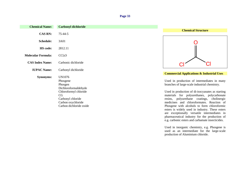| <b>Chemical Name:</b>     | <b>Carbonyl dichloride</b>                                                                        |                                                                                                                                                                                                                                                                                                |
|---------------------------|---------------------------------------------------------------------------------------------------|------------------------------------------------------------------------------------------------------------------------------------------------------------------------------------------------------------------------------------------------------------------------------------------------|
| <b>CAS RN:</b>            | $75 - 44 - 5$                                                                                     | <b>Chemical Structure</b>                                                                                                                                                                                                                                                                      |
| <b>Schedule:</b>          | 3A01                                                                                              |                                                                                                                                                                                                                                                                                                |
| <b>HS</b> code:           | 2812.11                                                                                           |                                                                                                                                                                                                                                                                                                |
| <b>Molecular Formula:</b> | CCl <sub>2</sub> O                                                                                |                                                                                                                                                                                                                                                                                                |
| <b>CAS Index Name:</b>    | Carbonic dichloride                                                                               |                                                                                                                                                                                                                                                                                                |
| <b>IUPAC Name:</b>        | Carbonyl dichloride                                                                               |                                                                                                                                                                                                                                                                                                |
| <b>Synonyms:</b>          | UN1076<br>Phosgene<br>Phosgen<br>Dichloroformaldehyde                                             | <b>Commercial Applications &amp; Industrial Uses</b><br>Used in production of intermediates in many<br>branches of large-scale industrial chemistry.                                                                                                                                           |
|                           | Chloroformyl chloride<br>CG<br>Carbonyl chloride<br>Carbon oxychloride<br>Carbon dichloride oxide | Used in production of di-isocyanates as starting<br>materials for polyurethanes, polycarbonate<br>resins, polyurethane coatings,<br>cholinergic<br>medicines and chloroformates. Reaction of<br>Phosgene with alcohols to form chloroformic<br>esters is widely used in industry. These esters |

are exceptionally versatile intermediates in pharmaceutical industry for the production of e.g. carbonic esters and carbamate insecticides.

Used in inorganic chemistry, e.g. Phosgene is used as an intermediate for the large-scale

production of Aluminium chloride.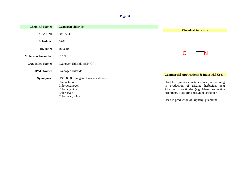| <b>Chemical Name:</b>     | <b>Cyanogen chloride</b>              |                                                      |
|---------------------------|---------------------------------------|------------------------------------------------------|
|                           |                                       | <b>Chemical Structure</b>                            |
| <b>CAS RN:</b>            | 506-77-4                              |                                                      |
| <b>Schedule:</b>          | 3A02                                  |                                                      |
| <b>HS</b> code:           | 2853.10                               |                                                      |
| <b>Molecular Formula:</b> | <b>CCIN</b>                           | ΞN                                                   |
| <b>CAS Index Name:</b>    | Cyanogen chloride ((CN)Cl)            |                                                      |
| <b>IUPAC Name:</b>        | Cyanogen chloride                     |                                                      |
|                           |                                       | <b>Commercial Applications &amp; Industrial Uses</b> |
| <b>Synonyms:</b>          | UN1589 (Cyanogen chloride stabilized) |                                                      |
|                           | Cyanochloride                         | Used for: synthesis, metal cleaners, ore refining,   |
|                           | Chlorocyanogen                        | in production of triazine herbicides (e.g.           |
|                           | Chlorocyanide                         | Atrazine), insecticides (e.g. Menazon), optical      |
|                           | Chlorocyan                            | brightners, dyestuffs and synthetic rubber.          |
|                           | Chlorine cyanide                      |                                                      |
|                           |                                       | Used in production of Diphenyl guanidine.            |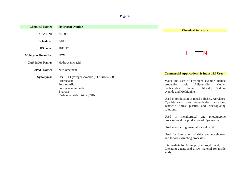| <b>Chemical Name:</b>     | <b>Hydrogen cyanide</b>                                                                                                              |                                                                                                                                                                                                                                                                                                                                      |
|---------------------------|--------------------------------------------------------------------------------------------------------------------------------------|--------------------------------------------------------------------------------------------------------------------------------------------------------------------------------------------------------------------------------------------------------------------------------------------------------------------------------------|
| <b>CAS RN:</b>            | 74-90-8                                                                                                                              | <b>Chemical Structure</b>                                                                                                                                                                                                                                                                                                            |
| Schedule:                 | 3A03                                                                                                                                 |                                                                                                                                                                                                                                                                                                                                      |
| <b>HS</b> code:           | 2811.12                                                                                                                              |                                                                                                                                                                                                                                                                                                                                      |
| <b>Molecular Formula:</b> | <b>HCN</b>                                                                                                                           | $\equiv$ N<br>H-                                                                                                                                                                                                                                                                                                                     |
| <b>CAS Index Name:</b>    | Hydrocyanic acid                                                                                                                     |                                                                                                                                                                                                                                                                                                                                      |
| <b>IUPAC Name:</b>        | Nitrilomethane                                                                                                                       |                                                                                                                                                                                                                                                                                                                                      |
| <b>Synonyms:</b>          | UN1614 Hydrogen cyanide (STABILIZED)<br>Prussic acid<br>Formonitrile<br>Formic anammonide<br>Evercyn<br>Carbon hydride nitride (CHN) | <b>Commercial Applications &amp; Industrial Uses</b><br>Major end uses of Hydrogen cyanide include<br>of:<br>Adiponitrile,<br>Methyl<br>production<br>methacrylate, Cyanuric<br>chloride,<br>Sodium<br>cyanide and Methionine.<br>Used in production of metal polishes, Acrylates,<br>Cyanide salts, dyes, rodenticides, pesticides, |

synthetic fibres, plastics and electroplating

Used in metallurgical and photographic processes and for production of Cyanuric acid.

Used for fumigation of ships and warehouses

Intermediate for Aminopolycarboxylic acid; Chelating agents and a raw material for nitrile

Used as a starting material for nylon 66.

and for ore-extracting processes.

solutions.

acids.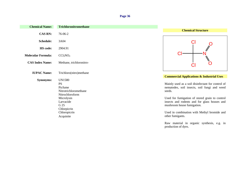| <b>Chemical Name:</b>     | <b>Trichloronitromethane</b>                                                                                                                              |                                                                                                                                                                                                                                                                                                                |
|---------------------------|-----------------------------------------------------------------------------------------------------------------------------------------------------------|----------------------------------------------------------------------------------------------------------------------------------------------------------------------------------------------------------------------------------------------------------------------------------------------------------------|
| <b>CAS RN:</b>            | 76-06-2                                                                                                                                                   | <b>Chemical Structure</b>                                                                                                                                                                                                                                                                                      |
| Schedule:                 | 3A04                                                                                                                                                      | Cl                                                                                                                                                                                                                                                                                                             |
| <b>HS</b> code:           | 2904.91                                                                                                                                                   |                                                                                                                                                                                                                                                                                                                |
| <b>Molecular Formula:</b> | CCl <sub>3</sub> NO <sub>2</sub>                                                                                                                          |                                                                                                                                                                                                                                                                                                                |
| <b>CAS Index Name:</b>    | Methane, trichloronitro-                                                                                                                                  |                                                                                                                                                                                                                                                                                                                |
| <b>IUPAC Name:</b>        | Trichloro(nitro)methane                                                                                                                                   | <b>Commercial Applications &amp; Industrial Uses</b>                                                                                                                                                                                                                                                           |
| <b>Synonyms:</b>          | UN1580<br><b>PS</b><br>Picfume<br>Nitrotrichloromethane<br>Nitrochloroform<br>Microlysin<br>Larvacide<br>G 25<br>Chlorpicrin<br>Chloropicrin<br>Acquinite | Mainly used as a soil disinfectant for control of<br>nematodes, soil insects, soil fungi and weed<br>seeds.<br>Used for fumigation of stored grain to control<br>insects and rodents and for glass houses and<br>mushroom house fumigation.<br>Used in combination with Methyl bromide and<br>other fumigants. |

Raw material in organic synthesis, e.g. in production of dyes.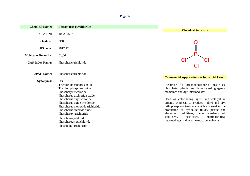| <b>Chemical Name:</b>     | Phosphorus oxychloride                                                                                                                                                                                                                                                                                                                                              |                                                                                                                                                                                                                                                                                                                                                                                                                                                                                     |
|---------------------------|---------------------------------------------------------------------------------------------------------------------------------------------------------------------------------------------------------------------------------------------------------------------------------------------------------------------------------------------------------------------|-------------------------------------------------------------------------------------------------------------------------------------------------------------------------------------------------------------------------------------------------------------------------------------------------------------------------------------------------------------------------------------------------------------------------------------------------------------------------------------|
| <b>CAS RN:</b>            | 10025-87-3                                                                                                                                                                                                                                                                                                                                                          | <b>Chemical Structure</b>                                                                                                                                                                                                                                                                                                                                                                                                                                                           |
| <b>Schedule:</b>          | 3B05                                                                                                                                                                                                                                                                                                                                                                |                                                                                                                                                                                                                                                                                                                                                                                                                                                                                     |
| HS code:                  | 2812.12                                                                                                                                                                                                                                                                                                                                                             |                                                                                                                                                                                                                                                                                                                                                                                                                                                                                     |
| <b>Molecular Formula:</b> | Cl <sub>3</sub> OP                                                                                                                                                                                                                                                                                                                                                  |                                                                                                                                                                                                                                                                                                                                                                                                                                                                                     |
| <b>CAS Index Name:</b>    | Phosphoric trichloride                                                                                                                                                                                                                                                                                                                                              |                                                                                                                                                                                                                                                                                                                                                                                                                                                                                     |
| <b>IUPAC Name:</b>        | Phosphoric trichloride                                                                                                                                                                                                                                                                                                                                              | <b>Commercial Applications &amp; Industrial Uses</b>                                                                                                                                                                                                                                                                                                                                                                                                                                |
| <b>Synonyms:</b>          | <b>UN1810</b><br>Trichlorophosphorus oxide<br>Trichlorophosphine oxide<br>Phosphoryl trichloride<br>Phosphorus trichloride oxide<br>Phosphorus oxytrichloride<br>Phosphorus oxide trichloride<br>Phosphorus monoxide trichloride<br>Phosphorus chloride oxide<br>Phosphoroxytrichloride<br>Phosphoroxychloride<br>Phosphorous oxychloride<br>Phosphonyl trichloride | Precursor for organophosphorus pesticides,<br>phosphates, plasticizers, flame retarding agents,<br>medicines and dye intermediates.<br>Used as chlorinating agent and catalyst in<br>organic synthesis to produce alkyl and aryl<br>orthophosphate tri-esters which are used in the<br>production of hydraulic fluids, plastic and<br>elastomeric additives, flame retardants, oil<br>stabilisers,<br>pesticides,<br>pharmaceutical<br>intermediates and metal extraction solvents. |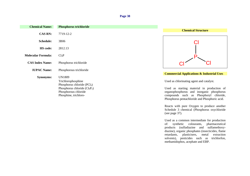| <b>Chemical Name:</b>     | <b>Phosphorus trichloride</b>                                                                                                                    |                                                                                                                                                                                                                                                                                        |
|---------------------------|--------------------------------------------------------------------------------------------------------------------------------------------------|----------------------------------------------------------------------------------------------------------------------------------------------------------------------------------------------------------------------------------------------------------------------------------------|
|                           |                                                                                                                                                  | <b>Chemical Structure</b>                                                                                                                                                                                                                                                              |
| <b>CAS RN:</b>            | 7719-12-2                                                                                                                                        |                                                                                                                                                                                                                                                                                        |
| <b>Schedule:</b>          | 3B06                                                                                                                                             |                                                                                                                                                                                                                                                                                        |
| <b>HS</b> code:           | 2812.13                                                                                                                                          |                                                                                                                                                                                                                                                                                        |
| <b>Molecular Formula:</b> | Cl <sub>3</sub> P                                                                                                                                |                                                                                                                                                                                                                                                                                        |
| <b>CAS Index Name:</b>    | Phosphorus trichloride                                                                                                                           |                                                                                                                                                                                                                                                                                        |
| <b>IUPAC Name:</b>        | Phosphorous trichloride                                                                                                                          |                                                                                                                                                                                                                                                                                        |
| <b>Synonyms:</b>          | UN1809<br>Trichlorophosphine<br>Phosphorus chloride $(PCl3)$<br>Phosphorus chloride $(Cl_6P_2)$<br>Phosphorous chloride<br>Phosphine, trichloro- | <b>Commercial Applications &amp; Industrial Uses</b><br>Used as chlorinating agent and catalyst.<br>Used as starting material in production of<br>organophosphorus and inorganic phosphorus<br>compounds such as Phosphoryl chloride,<br>Phosphorus pentachloride and Phosphoric acid. |

Reacts with pure Oxygen to produce another Schedule 3 chemical (Phosphorus oxychloride (see page 37).

Used as a common intermediate for production of: synthetic colourants, pharmaceutical products (sulfadiazine and sulfamethoxydiazine), organic phosphates (insecticides, flame retardants, plasticisers, metal extraction solvents), pesticides such as trichlorfon, methamidophos, acephate and EBP.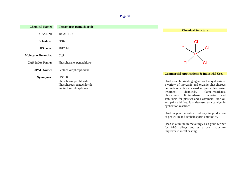| <b>Chemical Name:</b>     | <b>Phosphorus pentachloride</b> |                                                      |
|---------------------------|---------------------------------|------------------------------------------------------|
|                           |                                 | <b>Chemical Structure</b>                            |
| <b>CAS RN:</b>            | 10026-13-8                      |                                                      |
| <b>Schedule:</b>          | 3B07                            |                                                      |
| HS code:                  | 2812.14                         |                                                      |
| <b>Molecular Formula:</b> | Cl <sub>5</sub> P               |                                                      |
| <b>CAS Index Name:</b>    | Phosphorane, pentachloro-       | Cl                                                   |
| <b>IUPAC Name:</b>        | Pentachlorophosphorane          |                                                      |
|                           |                                 | <b>Commercial Applications &amp; Industrial Uses</b> |
| <b>Synonyms:</b>          | UN1806                          |                                                      |
|                           | Phosphorus perchloride          | Used as a chlorinating agent for the synthesis of    |
|                           | Phosphorous pentachloride       | a variety of inorganic and organic phosphorous       |
|                           | Pentachlorophosphorus           | derivatives which are used as: pesticides, water     |
|                           |                                 | flame-retardants,<br>chemicals,<br>treatment         |
|                           |                                 | plasticizers,<br>lithium-based<br>batteries<br>and   |
|                           |                                 | stabilizers for plastics and elastomers; lube oil    |

and paint additive. It is also used as a catalyst in

Used in pharmaceutical industry in production of penicillin and cephalosporin antibiotics.

Used in aluminium metallurgy as a grain refiner for Al-Si alloys and as a grain structure

cyclization reactions.

improver in metal casting.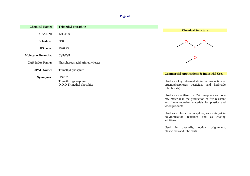|                                                            | <b>Chemical Structure</b>                                                                                                                                             |
|------------------------------------------------------------|-----------------------------------------------------------------------------------------------------------------------------------------------------------------------|
| 121-45-9                                                   |                                                                                                                                                                       |
| 3B08                                                       |                                                                                                                                                                       |
| 2920.23                                                    |                                                                                                                                                                       |
| $C_3H_9O_3P$                                               |                                                                                                                                                                       |
| Phosphorous acid, trimethyl ester                          |                                                                                                                                                                       |
|                                                            |                                                                                                                                                                       |
| UN2329<br>Trimethoxyphosphine<br>O,O,O Trimethyl phosphite | <b>Commercial Applications &amp; Industrial Uses</b><br>Used as a key intermediate in the production of<br>organophosphorus pesticides and herbicide<br>(glyphosate). |
|                                                            | <b>Trimethyl phosphite</b><br>Trimethyl phosphite                                                                                                                     |

Used as a stabilizer for PVC neoprene and as a raw material in the production of fire resistant and flame retardant materials for plastics and wood products.

Used as a plasticizer in nylons, as a catalyst in polymerization reactions and as coating additives.

Used in dyestuffs, optical brighteners, plasticizers and lubricants.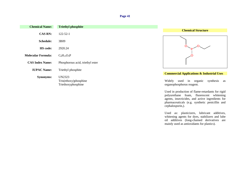| <b>Chemical Name:</b>     | <b>Triethyl phosphite</b>                   |                                                                        |
|---------------------------|---------------------------------------------|------------------------------------------------------------------------|
|                           |                                             | <b>Chemical Structure</b>                                              |
| <b>CAS RN:</b>            | $122 - 52 - 1$                              |                                                                        |
| <b>Schedule:</b>          | 3B09                                        |                                                                        |
| <b>HS</b> code:           | 2920.24                                     |                                                                        |
| <b>Molecular Formula:</b> | $C_6H_{15}O_3P$                             |                                                                        |
| <b>CAS Index Name:</b>    | Phosphorous acid, triethyl ester            |                                                                        |
| <b>IUPAC Name:</b>        | Triethyl phosphite                          |                                                                        |
|                           |                                             | <b>Commercial Applications &amp; Industrial Uses</b>                   |
| <b>Synonyms:</b>          | <b>UN2323</b>                               |                                                                        |
|                           | Tris(ethoxy)phosphine<br>Triethoxyphosphine | used in organic<br>Widely<br>synthesis as<br>organophosphorus reagent. |
|                           |                                             | Used in production of flame-retardants for rigid                       |

Used in production of flame-retardants for rigid polyurethane foam, fluorescent whitening agents, insecticides, and active ingredients for pharmaceuticals (e.g. synthetic penicillin and cephalosporin,).

Used as: plasticizers, lubricant additives, whitening agents for dyes, stabilizers and lube oil additives (long-chained derivatives are mainly used as antioxidants for plastics).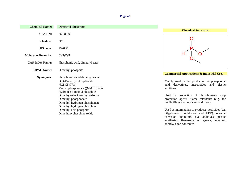| <b>Chemical Name:</b>     | <b>Dimethyl phosphite</b>                                                                                                                           |                                                                                                                                                |
|---------------------------|-----------------------------------------------------------------------------------------------------------------------------------------------------|------------------------------------------------------------------------------------------------------------------------------------------------|
|                           |                                                                                                                                                     | <b>Chemical Structure</b>                                                                                                                      |
| <b>CAS RN:</b>            | 868-85-9                                                                                                                                            |                                                                                                                                                |
| <b>Schedule:</b>          | 3B10                                                                                                                                                |                                                                                                                                                |
| <b>HS</b> code:           | 2920.21                                                                                                                                             |                                                                                                                                                |
| <b>Molecular Formula:</b> | $C_2H_7O_3P$                                                                                                                                        |                                                                                                                                                |
| <b>CAS Index Name:</b>    | Phosphonic acid, dimethyl ester                                                                                                                     |                                                                                                                                                |
| <b>IUPAC Name:</b>        | Dimethyl phosphite                                                                                                                                  | <b>Commercial Applications &amp; Industrial Uses</b>                                                                                           |
| <b>Synonyms:</b>          | Phosphorous acid dimethyl ester<br>O,O-Dimethyl phosphonate<br><b>NCI-C54773</b><br>Methyl phosphonate $((MeO)2HPO)$<br>Hydrogen dimethyl phosphite | Mainly used in the production of phosphonic<br>acid derivatives, insecticides<br>and<br>plastic<br>additives.                                  |
|                           | Dimethylester kyseliny fosforite<br>Dimethyl phosphonate<br>Dimethyl hydrogen phosphonate<br>Dimethyl hydrogen phosphite                            | Used in production of phosphonates, crop<br>protection agents, flame retardants (e.g. for<br>textile fibres and lubricant additives).          |
|                           | Dimethyl acid phosphite<br>Dimethoxyphosphine oxide                                                                                                 | Used as intermediate to produce: pesticides (e.g.<br>Glyphosate, Trichlorfon and EBP), organic<br>corrosion inhibitors, dye additives, plastic |

auxiliaries, flame-retarding agents, lube oil additives and adhesives.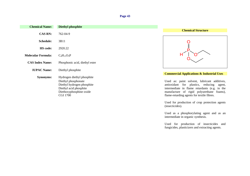| <b>Chemical Name:</b>     | <b>Diethyl phosphite</b>                                                                                                                                |                                                                                                                                                                                                                                          |
|---------------------------|---------------------------------------------------------------------------------------------------------------------------------------------------------|------------------------------------------------------------------------------------------------------------------------------------------------------------------------------------------------------------------------------------------|
| <b>CAS RN:</b>            | 762-04-9                                                                                                                                                | <b>Chemical Structure</b>                                                                                                                                                                                                                |
| <b>Schedule:</b>          | 3B11                                                                                                                                                    |                                                                                                                                                                                                                                          |
| <b>HS</b> code:           | 2920.22                                                                                                                                                 |                                                                                                                                                                                                                                          |
| <b>Molecular Formula:</b> | $C_4H_{11}O_3P$                                                                                                                                         |                                                                                                                                                                                                                                          |
| <b>CAS Index Name:</b>    | Phosphonic acid, diethyl ester                                                                                                                          |                                                                                                                                                                                                                                          |
| <b>IUPAC Name:</b>        | Diethyl phosphite                                                                                                                                       | <b>Commercial Applications &amp; Industrial Uses</b>                                                                                                                                                                                     |
| <b>Synonyms:</b>          | Hydrogen diethyl phosphite<br>Diethyl phosphonate<br>Diethyl hydrogen phosphite<br>Diethyl acid phosphite<br>Diethoxyphosphine oxide<br><b>CGI 1700</b> | Used as: paint solvent, lubricant additives,<br>antioxidant for plastics, reducing<br>agent,<br>intermediate in flame retardants (e.g. in the<br>manufacture of rigid polyurethane foams),<br>flame-retarding agents for textile fibres. |

Used for production of crop protection agents (insecticides).

Used as a phosphorylating agent and as an intermediate in organic synthesis.

Used for production of insecticides and fungicides, plasticizers and extracting agents.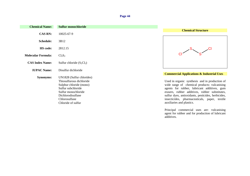| <b>Chemical Name:</b>     | <b>Sulfur monochloride</b>                                                                                                                                                                |                                                                                                                                                                                                                                                                                                                                                                                             |
|---------------------------|-------------------------------------------------------------------------------------------------------------------------------------------------------------------------------------------|---------------------------------------------------------------------------------------------------------------------------------------------------------------------------------------------------------------------------------------------------------------------------------------------------------------------------------------------------------------------------------------------|
| <b>CAS RN:</b>            | 10025-67-9                                                                                                                                                                                | <b>Chemical Structure</b>                                                                                                                                                                                                                                                                                                                                                                   |
| <b>Schedule:</b>          | 3B12                                                                                                                                                                                      |                                                                                                                                                                                                                                                                                                                                                                                             |
| <b>HS</b> code:           | 2812.15                                                                                                                                                                                   |                                                                                                                                                                                                                                                                                                                                                                                             |
| <b>Molecular Formula:</b> | Cl <sub>2</sub> S <sub>2</sub>                                                                                                                                                            |                                                                                                                                                                                                                                                                                                                                                                                             |
| <b>CAS Index Name:</b>    | Sulfur chloride $(S_2Cl_2)$                                                                                                                                                               |                                                                                                                                                                                                                                                                                                                                                                                             |
| <b>IUPAC Name:</b>        | Disulfur dichloride                                                                                                                                                                       |                                                                                                                                                                                                                                                                                                                                                                                             |
| <b>Synonyms:</b>          | UN1828 (Sulfur chlorides)<br>Thiosulfurous dichloride<br>Sulphur chloride (mono)<br>Sulfur subchloride<br>Sulfur monochloride<br>Dichlorodisulfane<br>Chlorosulfane<br>Chloride of sulfur | <b>Commercial Applications &amp; Industrial Uses</b><br>Used in organic synthesis and in production of<br>wide range of chemical products: vulcanising<br>agents for rubber, lubricant additives, gum<br>erasers, rubber additives, rubber substitutes,<br>sulfur dyes, antioxidants, pesticides, herbicides,<br>insecticides, pharmaceuticals, paper, textile<br>auxiliaries and plastics. |

Principal commercial uses are: vulcanising agent for rubber and for production of lubricant additives.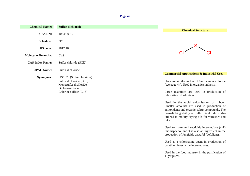| <b>Chemical Name:</b>  | Sulfur dichloride                                                                                                                 |
|------------------------|-----------------------------------------------------------------------------------------------------------------------------------|
| <b>CAS RN:</b>         | 10545-99-0                                                                                                                        |
| Schedule:              | 3B13                                                                                                                              |
| <b>HS</b> code:        | 2812.16                                                                                                                           |
| Molecular Formula:     | Cl <sub>2</sub> S                                                                                                                 |
| <b>CAS Index Name:</b> | Sulfur chloride (SCl2)                                                                                                            |
| <b>IUPAC Name:</b>     | Sulfur dichloride                                                                                                                 |
| <b>Synonyms:</b>       | UN1828 (Sulfur chlorides)<br>Sulfur dichloride $(SCl2)$<br>Monosulfur dichloride<br>Dichlorosulfane<br>Chlorine sulfide $(Cl_2S)$ |



#### **Commercial Applications & Industrial Uses**

Uses are similar to that of Sulfur monochloride (see page 44). Used in organic synthesis.

Large quantities are used in production of lubricating oil additives.

Used in the rapid vulcanisation of rubber. Smaller amounts are used in production of antioxidants and organic-sulfur compounds. The cross-linking ability of Sulfur dichloride is also utilized to modify drying oils for varnishes and inks.

Used to make an insecticide intermediate (4,4' thiobisphenol and it is also an ingredient in the production of fungicide captafol (defoliant).

Used as a chlorinating agent in production of parathion insecticide intermediates.

Used in the food industry in the purification of sugar juices.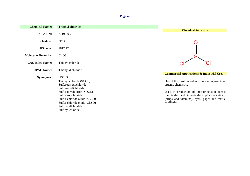| <b>Chemical Name:</b>     | <b>Thionyl chloride</b>                                                                                                                                                                                                                                     |                                                                                                                                                                                                                                           |
|---------------------------|-------------------------------------------------------------------------------------------------------------------------------------------------------------------------------------------------------------------------------------------------------------|-------------------------------------------------------------------------------------------------------------------------------------------------------------------------------------------------------------------------------------------|
|                           |                                                                                                                                                                                                                                                             | <b>Chemical Structure</b>                                                                                                                                                                                                                 |
| <b>CAS RN:</b>            | 7719-09-7                                                                                                                                                                                                                                                   |                                                                                                                                                                                                                                           |
| <b>Schedule:</b>          | 3B14                                                                                                                                                                                                                                                        |                                                                                                                                                                                                                                           |
| <b>HS</b> code:           | 2812.17                                                                                                                                                                                                                                                     |                                                                                                                                                                                                                                           |
| <b>Molecular Formula:</b> | Cl <sub>2</sub> OS                                                                                                                                                                                                                                          |                                                                                                                                                                                                                                           |
| <b>CAS Index Name:</b>    | Thionyl chloride                                                                                                                                                                                                                                            |                                                                                                                                                                                                                                           |
| <b>IUPAC Name:</b>        | Thionyl dichloride                                                                                                                                                                                                                                          | <b>Commercial Applications &amp; Industrial Uses</b>                                                                                                                                                                                      |
| <b>Synonyms:</b>          | UN1836<br>Thionyl chloride $(SOCl2)$<br>Sulfurous oxychloride<br>Sulfurous dichloride<br>Sulfur oxychloride (SOCl2)<br>Sulfur oxychloride<br>Sulfur chloride oxide $(SCl2O)$<br>Sulfur chloride oxide $(Cl2SO)$<br>Sulfinyl dichloride<br>Sulfinyl chloride | One of the most important chlorinating agents in<br>organic chemistry.<br>Used in production of crop-protection agents<br>(herbicides and insecticides), pharmaceuticals<br>(drugs and vitamins), dyes, paper and textile<br>auxiliaries. |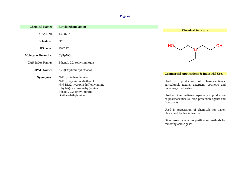| <b>Chemical Name:</b>     | <b>Ethyldiethanolamine</b>                                                                                                                                                         |                                                                                                                                                                                                                                                |
|---------------------------|------------------------------------------------------------------------------------------------------------------------------------------------------------------------------------|------------------------------------------------------------------------------------------------------------------------------------------------------------------------------------------------------------------------------------------------|
| <b>CAS RN:</b>            | 139-87-7                                                                                                                                                                           | <b>Chemical Structure</b>                                                                                                                                                                                                                      |
| <b>Schedule:</b>          | 3B15                                                                                                                                                                               |                                                                                                                                                                                                                                                |
| <b>HS</b> code:           | 2922.17                                                                                                                                                                            | HO                                                                                                                                                                                                                                             |
| <b>Molecular Formula:</b> | $C_6H_{15}NO_2$                                                                                                                                                                    |                                                                                                                                                                                                                                                |
| <b>CAS Index Name:</b>    | Ethanol, 2,2'-(ethylimino)bis-                                                                                                                                                     |                                                                                                                                                                                                                                                |
| <b>IUPAC Name:</b>        | 2,2'-(Ethylimino)diethanol                                                                                                                                                         | <b>Commercial Applications &amp; Industrial Uses</b>                                                                                                                                                                                           |
| <b>Synonyms:</b>          | N-Ethyldiethanolamine<br>N-Ethyl-2,2'-iminodiethanol<br>N,N-Bis(2-hydroxyethyl)ethylamine<br>Ethylbis(2-hydroxyethyl)amine<br>Ethanol, 2,2'-(ethylimino)di-<br>Diethanolethylamine | production of pharmaceuticals,<br>Used in<br>agricultural, textile, detergent, cosmetic and<br>metallurgic industries.<br>Used as: intermediates (especially in production)<br>of pharmaceuticals), crop protection agents and<br>flocculants. |

Used in preparation of chemicals for paper, plastic and leather industries.

Direct uses include gas purification methods for removing acidic gases.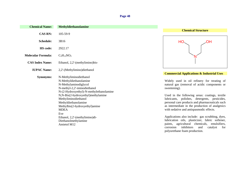| <b>Chemical Name:</b>     | Methyldiethanolamine                                                                                                                |                                                                                                                                                                                                                                                   |
|---------------------------|-------------------------------------------------------------------------------------------------------------------------------------|---------------------------------------------------------------------------------------------------------------------------------------------------------------------------------------------------------------------------------------------------|
| <b>CAS RN:</b>            | 105-59-9                                                                                                                            | <b>Chemical Structure</b>                                                                                                                                                                                                                         |
|                           |                                                                                                                                     |                                                                                                                                                                                                                                                   |
| <b>Schedule:</b>          | 3B16                                                                                                                                | HO.<br>ΟH                                                                                                                                                                                                                                         |
| HS code:                  | 2922.17                                                                                                                             |                                                                                                                                                                                                                                                   |
| <b>Molecular Formula:</b> | $C_5H_{13}NO_2$                                                                                                                     |                                                                                                                                                                                                                                                   |
| <b>CAS Index Name:</b>    | Ethanol, 2,2'-(methylimino)bis-                                                                                                     |                                                                                                                                                                                                                                                   |
| <b>IUPAC Name:</b>        | 2,2'-(Methylimino)diethanol                                                                                                         |                                                                                                                                                                                                                                                   |
| <b>Synonyms:</b>          | N-Methyliminodiethanol                                                                                                              | <b>Commercial Applications &amp; Industrial Uses</b>                                                                                                                                                                                              |
|                           | N-Methyldiethanolamine<br>N-Methylaminodiglycol<br>N-methyl-2,2'-iminodiethanol<br>N-(2-Hydroxyethyl)-N-methylethanolamine          | Widely used in oil refinery for treating of<br>natural gas (removal of acidic components or<br>sweetening).                                                                                                                                       |
|                           | N,N-Bis(2-hydroxyethyl)methylamine<br>Methyliminodiethanol<br>Methyldiethanolamine<br>Methylbis(2-hydroxyethyl)amine<br><b>MDEA</b> | Used in the following areas: coatings, textile<br>lubricants, polishes, detergents, pesticides,<br>personal care products and pharmaceuticals such<br>as intermediate in the production of analgesics<br>with sedative and antispasmodic effects. |
|                           | Eve<br>Ethanol, 2,2'-(methylimino)di-<br>Diethanolmethylamine<br>Amietol M12                                                        | Applications also include: gas scrubbing, dyes,<br>lubrication oils, plasticizer, fabric softener,<br>paints, agricultural chemicals,<br>emulsifiers,<br>inhibitors<br>catalyst<br>and<br>corrosion<br>for                                        |

polyurethane foam production.